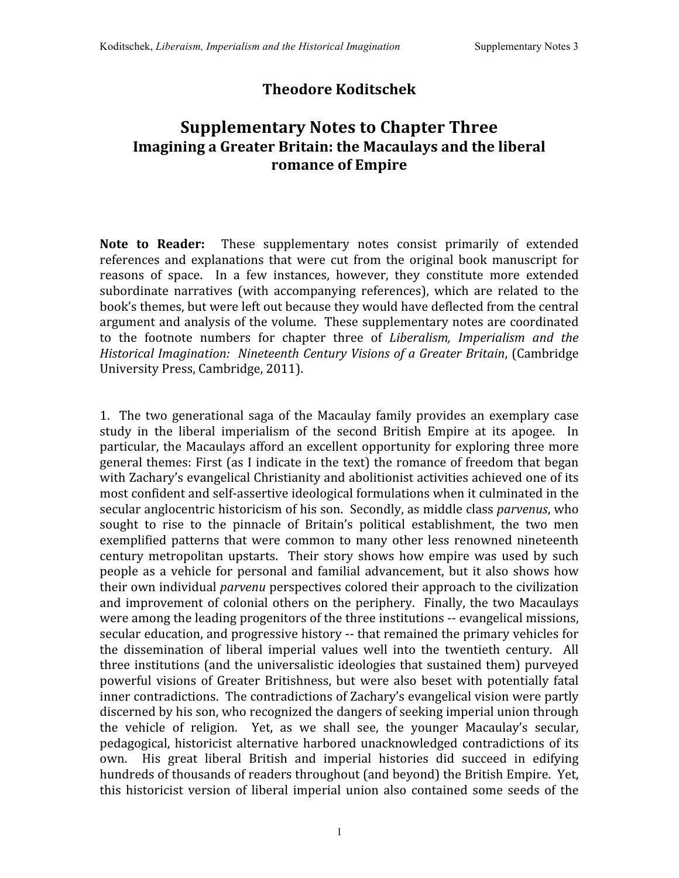## **Theodore Koditschek**

## **Supplementary Notes to Chapter Three Imagining a Greater Britain: the Macaulays and the liberal romance of Empire**

Note to Reader: These supplementary notes consist primarily of extended references and explanations that were cut from the original book manuscript for reasons of space. In a few instances, however, they constitute more extended subordinate narratives (with accompanying references), which are related to the book's
themes,
but
were
left
out
because
they
would
have
deflected
from
the
central argument
and
analysis
of
the
volume. These
supplementary
notes
are
coordinated to the footnote numbers for chapter three of *Liberalism, Imperialism and the Historical
Imagination: Nineteenth
Century
Visions
of
a
Greater
Britain*,
(Cambridge University
Press,
Cambridge,
2011).

1. The
two generational saga
of
the
Macaulay
family
provides an exemplary case study in the liberal imperialism of the second British Empire at its apogee. In particular,
the
Macaulays
afford
an
excellent
opportunity
for
exploring
three
more general
themes:
First
(as
I
indicate
in
the
text)
the
romance
of
freedom
that
began with Zachary's evangelical Christianity and abolitionist activities achieved one of its most confident and self-assertive ideological formulations when it culminated in the secular
anglocentric
historicism
of
his
son. Secondly,
as
middle
class *parvenus*,
who sought to rise to the pinnacle of Britain's political establishment, the two men exemplified patterns that were common to many other less renowned nineteenth century metropolitan upstarts. Their story shows how empire was used by such people as a vehicle for personal and familial advancement, but it also shows how their own individual *parvenu* perspectives colored their approach to the civilization and
improvement
of colonial
others
on
the
periphery. Finally,
the
two
Macaulays were among the leading progenitors of the three institutions -- evangelical missions, secular
education,
and
progressive
history
‐‐ that
remained
the
primary
vehicles
for the dissemination of liberal imperial values well into the twentieth century. All three
institutions
(and
the
universalistic
ideologies
that
sustained
them)
purveyed powerful visions of Greater Britishness, but were also beset with potentially fatal inner contradictions. The contradictions of Zachary's evangelical vision were partly discerned
by
his
son,
who
recognized
the
dangers
of
seeking
imperial
union
through the vehicle of religion. Yet, as we shall see, the younger Macaulay's secular, pedagogical, historicist alternative harbored unacknowledged contradictions of its own. His great liberal British and imperial histories did succeed in edifying hundreds of thousands of readers throughout (and beyond) the British Empire. Yet, this historicist version of liberal imperial union also contained some seeds of the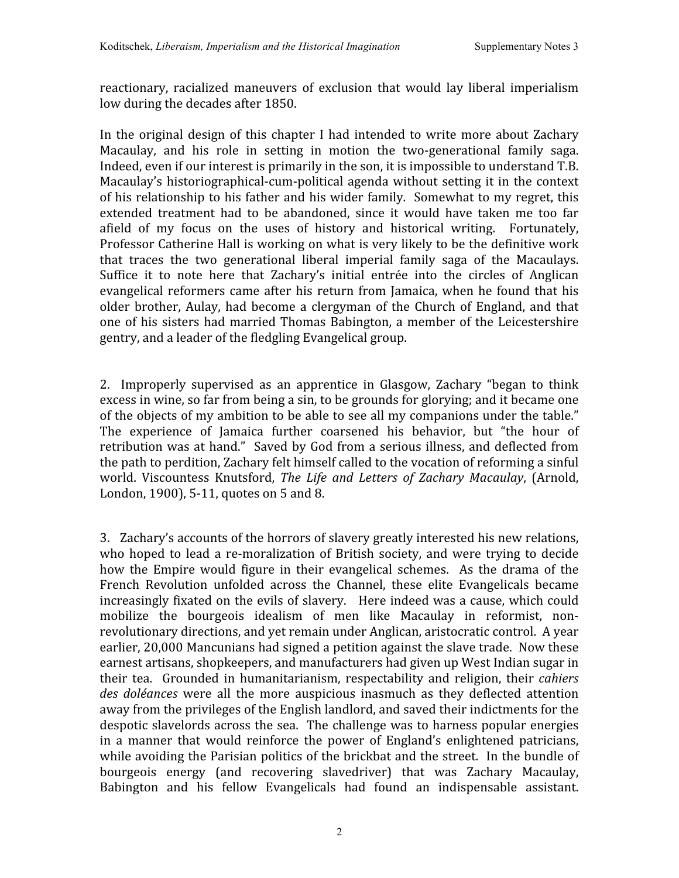reactionary, racialized maneuvers of exclusion that would lay liberal imperialism low
during
the
decades
after
1850.

In the original design of this chapter I had intended to write more about Zachary Macaulay, and his role in setting in motion the two-generational family saga. Indeed, even if our interest is primarily in the son, it is impossible to understand T.B. Macaulay's historiographical-cum-political agenda without setting it in the context of
his
relationship
to
his
father
and
his
wider
family. Somewhat
to
my
regret,
this extended treatment had to be abandoned, since it would have taken me too far afield of my focus on the uses of history and historical writing. Fortunately, Professor Catherine Hall is working on what is very likely to be the definitive work that traces the two generational liberal imperial family saga of the Macaulays. Suffice it to note here that Zachary's initial entrée into the circles of Anglican evangelical reformers came after his return from Jamaica, when he found that his older brother, Aulay, had become a clergyman of the Church of England, and that one
of
his sisters
had
married
Thomas
Babington,
a
member
of
the
Leicestershire gentry,
and
a
leader
of
the
fledgling
Evangelical
group.

2. Improperly supervised as an apprentice in Glasgow, Zachary "began to think excess
in
wine,
so
far
from
being
a
sin,
to
be
grounds
for
glorying;
and
it
became
one of the objects of my ambition to be able to see all my companions under the table." The experience of Jamaica further coarsened his behavior, but "the hour of retribution was at hand." Saved by God from a serious illness, and deflected from the
path
to
perdition,
Zachary
felt
himself
called
to
the
vocation
of reforming
a
sinful world. Viscountess Knutsford, *The Life and Letters of Zachary Macaulay*,
(Arnold, London, 1900), 5-11, quotes on 5 and 8.

3. Zachary's
accounts
of
the
horrors
of
slavery
greatly
interested
his
new
relations, who hoped to lead a re-moralization of British society, and were trying to decide how the Empire would figure in their evangelical schemes. As the drama of the French Revolution unfolded across the Channel, these elite Evangelicals became increasingly
fixated
on
the
evils
of
slavery. Here
indeed
was
a
cause,
which
could mobilize the bourgeois idealism of men like Macaulay in reformist, nonrevolutionary directions, and yet remain under Anglican, aristocratic control. A year earlier,
20,000
Mancunians
had
signed
a
petition
against
the
slave
trade. Now
these earnest
artisans,
shopkeepers,
and
manufacturers
had
given
up
West
Indian
sugar
in their
tea. Grounded in humanitarianism, respectability and religion,
their *cahiers*  des doléances were all the more auspicious inasmuch as they deflected attention away
from
the
privileges
of
the
English
landlord,
and
saved
their
indictments
for
the despotic
slavelords
across
the
sea. The
challenge
was
to
harness
popular energies in a manner that would reinforce the power of England's enlightened patricians, while avoiding the Parisian politics of the brickbat and the street. In the bundle of bourgeois energy (and recovering slavedriver) that was Zachary Macaulay, Babington and his fellow Evangelicals had found an indispensable assistant.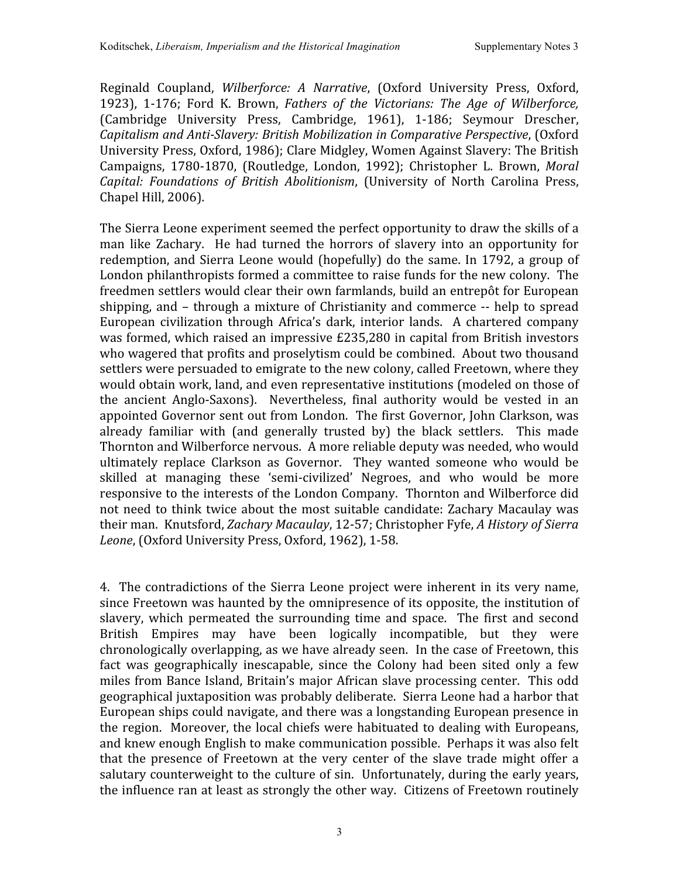Reginald Coupland, *Wilberforce: A Narrative*, (Oxford University Press, Oxford, 1923), 1‐176; Ford K. Brown, *Fathers of the Victorians: The Age of Wilberforce,* (Cambridge University Press, Cambridge, 1961), 1‐186; Seymour Drescher, Capitalism and Anti-Slavery: British Mobilization in Comparative Perspective, (Oxford University
Press,
Oxford,
1986);
Clare
Midgley,
Women
Against
Slavery:
The
British Campaigns, 1780-1870, (Routledge, London, 1992); Christopher L. Brown, Moral Capital: Foundations of British Abolitionism, (University of North Carolina Press, Chapel
Hill,
2006).

The
Sierra
Leone
experiment
seemed
the
perfect
opportunity
to
draw
the
skills
of
a man like Zachary. He had turned the horrors of slavery into an opportunity for redemption, and Sierra Leone would (hopefully) do the same. In 1792, a group of London philanthropists formed a committee to raise funds for the new colony. The freedmen
settlers
would
clear
their
own
farmlands,
build
an
entrepôt
for
European shipping, and – through a mixture of Christianity and commerce -- help to spread European civilization through Africa's dark, interior lands. A chartered company was formed, which raised an impressive £235,280 in capital from British investors who wagered that profits and proselytism could be combined. About two thousand settlers were persuaded to emigrate to the new colony, called Freetown, where they would obtain work, land, and even representative institutions (modeled on those of the ancient Anglo‐Saxons). Nevertheless, final authority would be vested in an appointed Governor sent out from London. The first Governor, John Clarkson, was already familiar with (and generally trusted by) the black settlers. This made Thornton and Wilberforce nervous. A more reliable deputy was needed, who would ultimately replace Clarkson as Governor. They wanted someone who would be skilled at managing these 'semi-civilized' Negroes, and who would be more responsive to the interests of the London Company. Thornton and Wilberforce did not need to think twice about the most suitable candidate: Zachary Macaulay was their
man. Knutsford, *Zachary
Macaulay*,
12‐57;
Christopher
Fyfe, *A
History
of
Sierra*  Leone, (Oxford University Press, Oxford, 1962), 1-58.

4. The contradictions
of
the
Sierra
Leone
project
were inherent
in
its
very
name, since
Freetown
was
haunted
by
the
omnipresence
of
its
opposite,
the
institution
of slavery, which permeated the surrounding time and space. The first and second British Empires may have been logically incompatible, but they were chronologically
overlapping,
as
we
have
already
seen. In
the
case
of
Freetown,
this fact was geographically inescapable, since the Colony had been sited only a few miles
from
Bance
Island,
Britain's
major
African
slave
processing
center. This
odd geographical juxtaposition was probably deliberate. Sierra Leone had a harbor that European
ships
could
navigate,
and
there
was
a
longstanding
European
presence
in the
region. Moreover,
the
local
chiefs
were
habituated
to
dealing
with
Europeans, and
knew
enough
English
to
make
communication
possible. Perhaps
it
was
also
felt that the presence of Freetown at the very center of the slave trade might offer a salutary counterweight to the culture of sin. Unfortunately, during the early years, the influence ran at least as strongly the other way. Citizens of Freetown routinely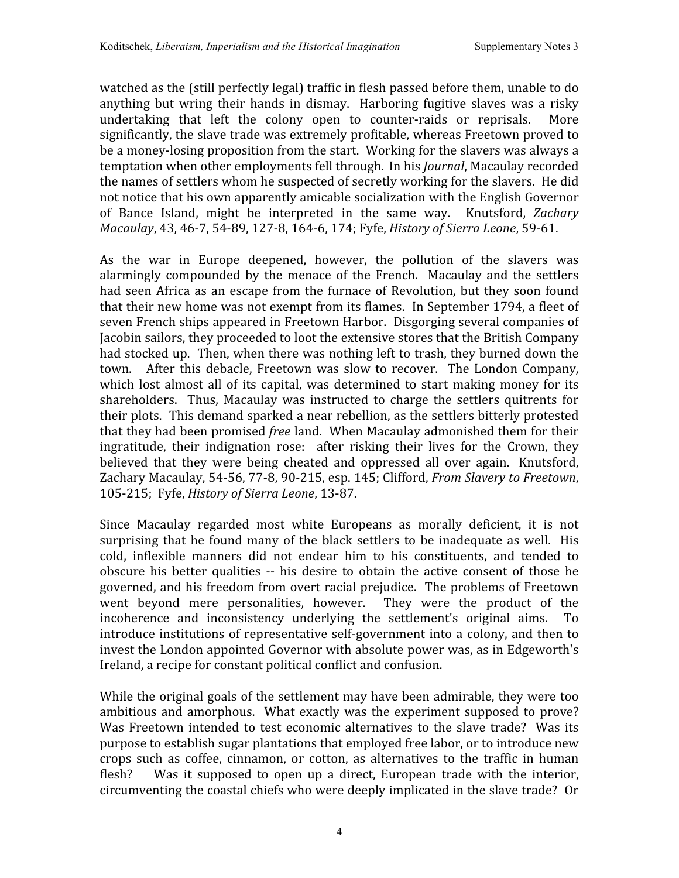watched as the (still perfectly legal) traffic in flesh passed before them, unable to do anything but wring their hands in dismay. Harboring fugitive slaves was a risky undertaking that left the colony open to counter-raids or reprisals. More significantly, the slave trade was extremely profitable, whereas Freetown proved to be a money-losing proposition from the start. Working for the slavers was always a temptation
when
other
employments
fell
through. In
his *Journal*,
Macaulay
recorded the
names
of
settlers
whom
he
suspected
of
secretly
working
for
the
slavers. He
did not notice that his own apparently amicable socialization with the English Governor of Bance Island, might be interpreted in the same way. Knutsford, *Zachary Macaulay*,
43,
46‐7,
54‐89,
127‐8,
164‐6,
174;
Fyfe, *History
of
Sierra
Leone*,
59‐61.

As the war in Europe deepened, however, the pollution of the slavers was alarmingly compounded by
the menace of
the French. Macaulay and
the settlers had seen Africa as an escape from the furnace of Revolution, but they soon found that their new home was not exempt from its flames. In September 1794, a fleet of seven French ships appeared in Freetown Harbor. Disgorging several companies of Jacobin
sailors,
they
proceeded
to
loot
the
extensive
stores
that
the
British
Company had stocked up. Then, when there was nothing left to trash, they burned down the town. After this debacle, Freetown was slow to recover. The London Company, which lost almost all of its capital, was determined to start making money for its shareholders. Thus, Macaulay was instructed to charge the settlers quitrents for their
plots. This
demand
sparked
a
near
rebellion,
as
the
settlers
bitterly
protested that they had been promised *free* land. When Macaulay admonished them for their ingratitude, their indignation rose: after risking their lives for the Crown, they believed that they were being cheated and oppressed all over again. Knutsford, Zachary Macaulay, 54-56, 77-8, 90-215, esp. 145; Clifford, *From Slavery to Freetown*, 105‐215;

Fyfe, *History
of
Sierra
Leone*,
13‐87.

Since Macaulay regarded most white Europeans as morally deficient, it is not surprising that he found many of the black settlers to be inadequate as well. His cold, inflexible manners did not endear him to his constituents, and tended to obscure his better qualities -- his desire to obtain the active consent of those he governed,
and
his
freedom
from
overt
racial
prejudice. The
problems
of
Freetown went beyond mere personalities, however. They were the product of the incoherence and inconsistency underlying the settlement's original aims. To introduce institutions of representative self-government into a colony, and then to invest the London appointed Governor with absolute power was, as in Edgeworth's Ireland, a recipe for constant political conflict and confusion.

While the original goals of the settlement may have been admirable, they were too ambitious and amorphous. What exactly was the experiment supposed to prove? Was Freetown intended to test economic alternatives to the slave trade? Was its purpose
to
establish
sugar
plantations
that
employed
free
labor,
or
to
introduce
new crops such as coffee, cinnamon, or cotton, as alternatives
to
the
traffic in human flesh? Was it supposed to open up a direct, European trade with the interior, circumventing the coastal chiefs who were deeply implicated in the slave trade? Or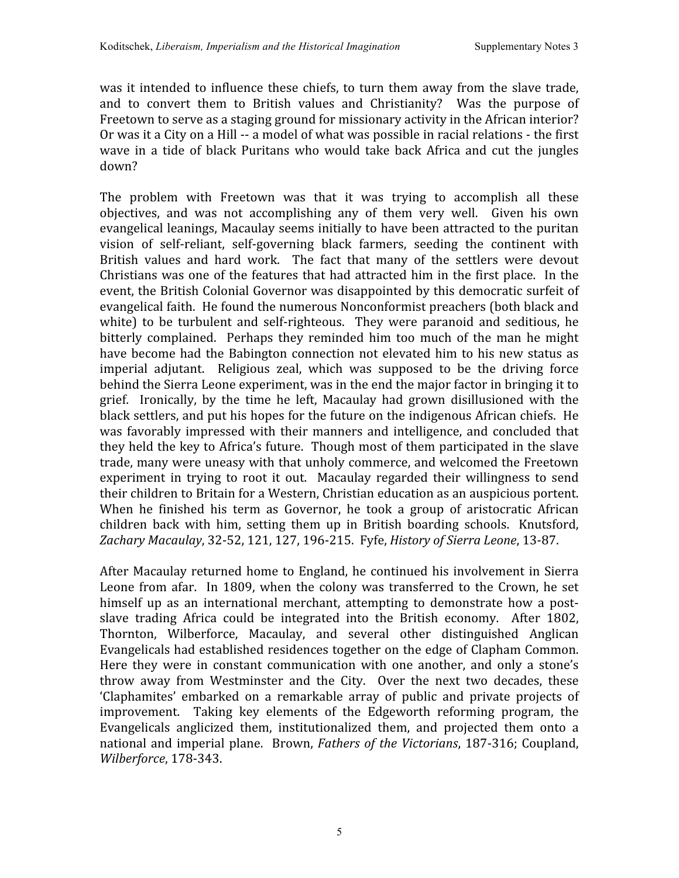was it intended to influence these chiefs, to turn them away from the slave trade, and to convert them to British values and Christianity? Was the purpose of Freetown to serve as a staging ground for missionary activity in the African interior? Or was it a City on a Hill -- a model of what was possible in racial relations - the first wave in a tide of black Puritans who would take back Africa and cut the jungles down?

The problem with Freetown was that it was trying to accomplish all these objectives, and was not accomplishing any of them very well. Given his own evangelical
leanings,
Macaulay
seems
initially
to
have
been
attracted
to
the
puritan vision of self-reliant, self-governing black farmers, seeding the continent with British values and hard work. The fact that many of the settlers were devout Christians was one of the features that had attracted him in the first place. In the event,
the
British
Colonial
Governor
was
disappointed
by
this
democratic
surfeit
of evangelical faith. He found the numerous Nonconformist preachers (both black and white) to be turbulent and self-righteous. They were paranoid and seditious, he bitterly complained. Perhaps they reminded him too much of the man he might have become had the Babington connection not elevated him to his new status as imperial adjutant. Religious zeal, which was supposed to be the driving force behind the Sierra Leone experiment, was in the end the major factor in bringing it to grief. Ironically, by the time he left, Macaulay had grown disillusioned with the black
settlers,
and
put
his
hopes
for
the
future
on
the
indigenous
African
chiefs. He was favorably impressed with their manners and intelligence, and concluded that they held the key to Africa's future. Though most of them participated in the slave trade,
many
were
uneasy
with
that
unholy
commerce,
and
welcomed
the
Freetown experiment in trying to root it out. Macaulay regarded their willingness to send their
children
to
Britain
for a
Western,
Christian
education as
an
auspicious
portent. When he finished his term as Governor, he took a group of aristocratic African children back with him, setting them up in British boarding schools. Knutsford, *Zachary
Macaulay*,
32‐52,
121,
127,
196‐215.

Fyfe, *History
of
Sierra
Leone*,
13‐87.

After Macaulay returned home to England, he continued his involvement in Sierra Leone from afar. In 1809, when the colony was transferred to the Crown, he set himself up as an international merchant, attempting to demonstrate how a postslave trading Africa could be integrated into the British economy. After 1802, Thornton, Wilberforce, Macaulay, and several other distinguished Anglican Evangelicals had established residences together on the edge of Clapham Common. Here they were in constant communication with one another, and only a stone's throw away from Westminster and the City. Over the next two decades, these 'Claphamites' embarked on a remarkable array of public and private projects of improvement. Taking key elements of the Edgeworth reforming program, the Evangelicals anglicized them, institutionalized them, and projected them onto a national
and
imperial
plane. Brown, *Fathers
of
the
Victorians*,
187‐316;
Coupland, *Wilberforce*,
178‐343.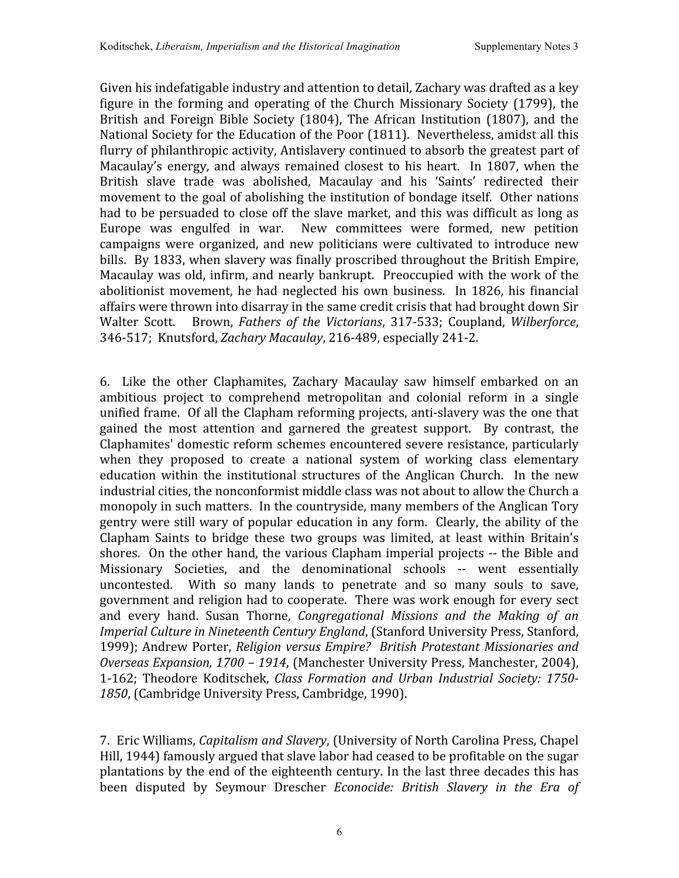Given his indefatigable industry and attention to detail, Zachary was drafted as a key figure in the forming and operating of the Church Missionary Society (1799), the British and Foreign Bible Society (1804), The African Institution (1807), and the National Society for the Education of the Poor (1811). Nevertheless, amidst all this flurry of philanthropic activity, Antislavery continued to absorb the greatest part of Macaulay's energy, and always remained closest to his heart. In 1807, when the British slave trade was abolished, Macaulay and his 'Saints' redirected their movement to the goal of abolishing the institution of bondage itself. Other nations had to be persuaded to close off the slave market, and this was difficult as long as Europe was engulfed in war. New committees were formed, new petition campaigns were organized, and new politicians were cultivated to introduce new bills. By
1833,
when
slavery
was
finally
proscribed
throughout
the
British
Empire, Macaulay was old, infirm, and nearly bankrupt. Preoccupied with the work of the abolitionist movement, he had neglected his own business. In 1826, his financial affairs
were
thrown
into
disarray
in
the
same
credit
crisis
that
had
brought
down
Sir Walter Scott. Brown, Fathers of the Victorians, 317-533; Coupland, Wilberforce, 346‐517;

Knutsford, *Zachary
Macaulay*,
216‐489,
especially
241‐2.

6. Like the other Claphamites, Zachary Macaulay saw himself embarked on an ambitious project to comprehend metropolitan and colonial reform in a single unified frame. Of all the Clapham reforming projects, anti-slavery was the one that gained the most attention and garnered the greatest support. By contrast, the Claphamites'
domestic
reform
schemes
encountered
severe resistance,
particularly when they proposed to create a national system of working class elementary education within the institutional structures of the Anglican Church. In the new industrial cities, the nonconformist middle class was not about to allow the Church a monopoly in such matters. In the countryside, many members of the Anglican Tory gentry
were
still
wary
of
popular
education
in
any
form. Clearly,
the
ability
of
the Clapham Saints to bridge these two groups was limited, at least within Britain's shores. On the other hand, the various Clapham imperial projects -- the Bible and Missionary Societies, and the denominational schools -- went essentially uncontested. With so many lands to penetrate and so many souls to save, government
and
religion
had
to
cooperate. There
was
work
enough
for
every
sect and every hand. Susan Thorne, *Congregational Missions and the Making of an* Imperial Culture in Nineteenth Century England, (Stanford University Press, Stanford, 1999);
Andrew
Porter, *Religion
versus
Empire? British
Protestant
Missionaries
and Overseas
Expansion,
1700
– 1914*,
(Manchester
University
Press,
Manchester,
2004), 1‐162; Theodore Koditschek, *Class Formation and Urban Industrial Society: 1750 1850*,
(Cambridge
University
Press,
Cambridge,
1990).

7. Eric
Williams, *Capitalism
and
Slavery*,
(University
of
North
Carolina
Press,
Chapel Hill, 1944) famously argued that slave labor had ceased to be profitable on the sugar plantations by the end of the eighteenth century. In the last three decades this has been disputed by Seymour Drescher *Econocide: British Slavery in the Era of*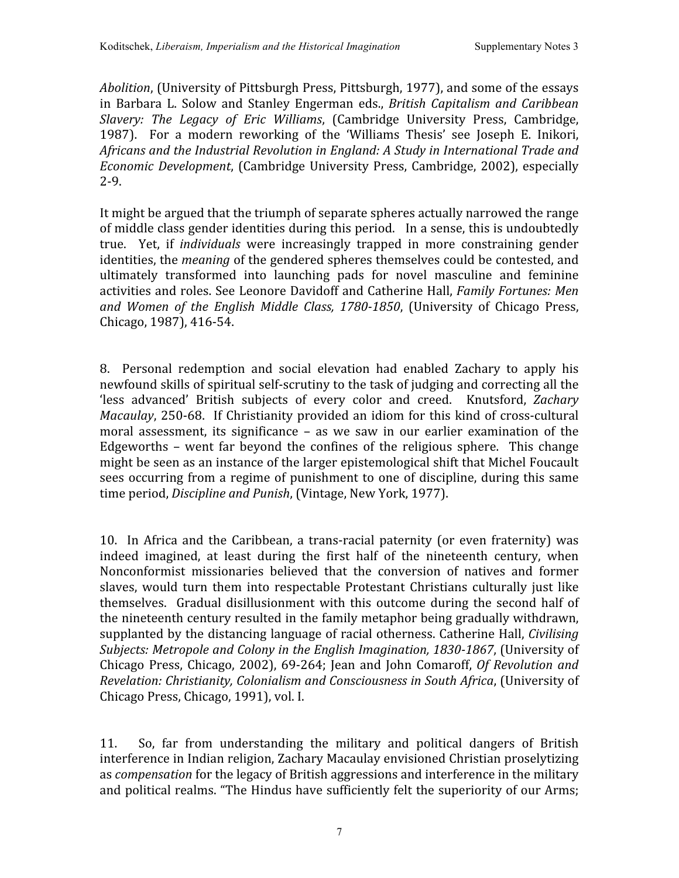Abolition, (University of Pittsburgh Press, Pittsburgh, 1977), and some of the essays in Barbara L. Solow and Stanley Engerman eds., *British Capitalism and Caribbean Slavery: The Legacy of Eric Williams*, (Cambridge University Press, Cambridge, 1987). For a modern reworking of the 'Williams Thesis' see Joseph E. Inikori, Africans and the Industrial Revolution in England: A Study in International Trade and *Economic
Development*,
(Cambridge
University
Press,
Cambridge,
2002),
especially 2‐9.

It might be argued that the triumph of separate spheres actually narrowed the range of middle class gender identities during this period. In a sense, this is undoubtedly true. Yet, if *individuals* were increasingly trapped in more constraining gender identities, the *meaning* of the gendered spheres themselves could be contested, and ultimately transformed into launching pads for novel masculine and feminine activities
and
roles.
See
Leonore
Davidoff
and
Catherine
Hall, *Family
Fortunes:
Men*  and Women of the English Middle Class, 1780-1850, (University of Chicago Press, Chicago,
1987),
416‐54.

8. Personal redemption and social elevation had enabled Zachary to apply his newfound skills of spiritual self-scrutiny to the task of judging and correcting all the 'less advanced' British subjects of every color and creed. Knutsford, Zachary *Macaulay*, 250-68. If Christianity provided an idiom for this kind of cross-cultural moral assessment, its significance – as we saw in our earlier examination of the Edgeworths – went far beyond the confines of the religious sphere. This change might be seen as an instance of the larger epistemological shift that Michel Foucault sees occurring from a regime of punishment to one of discipline, during this same time
period, *Discipline
and
Punish*,
(Vintage,
New
York,
1977).

10. In Africa and the Caribbean, a trans-racial paternity (or even fraternity) was indeed imagined, at least during the first half of the nineteenth century, when Nonconformist missionaries believed that the conversion of natives and former slaves, would turn them into respectable Protestant Christians culturally just like themselves. Gradual disillusionment
with
this outcome during
the second half of the
nineteenth
century
resulted
in
the
family
metaphor
being
gradually
withdrawn, supplanted by the distancing language of racial otherness. Catherine Hall, *Civilising* Subjects: Metropole and Colony in the English Imagination, 1830-1867, (University of Chicago Press, Chicago, 2002), 69-264; Jean and John Comaroff, *Of Revolution and Revelation:
Christianity,
Colonialism
and
Consciousness
in
South
Africa*,
(University
of Chicago
Press,
Chicago,
1991),
vol.
I.

11. So, far from understanding the military and political dangers of British interference
in
Indian
religion,
Zachary
Macaulay
envisioned
Christian
proselytizing as *compensation* for the legacy of British aggressions and interference in the military and political realms. "The Hindus have sufficiently felt the superiority of our Arms;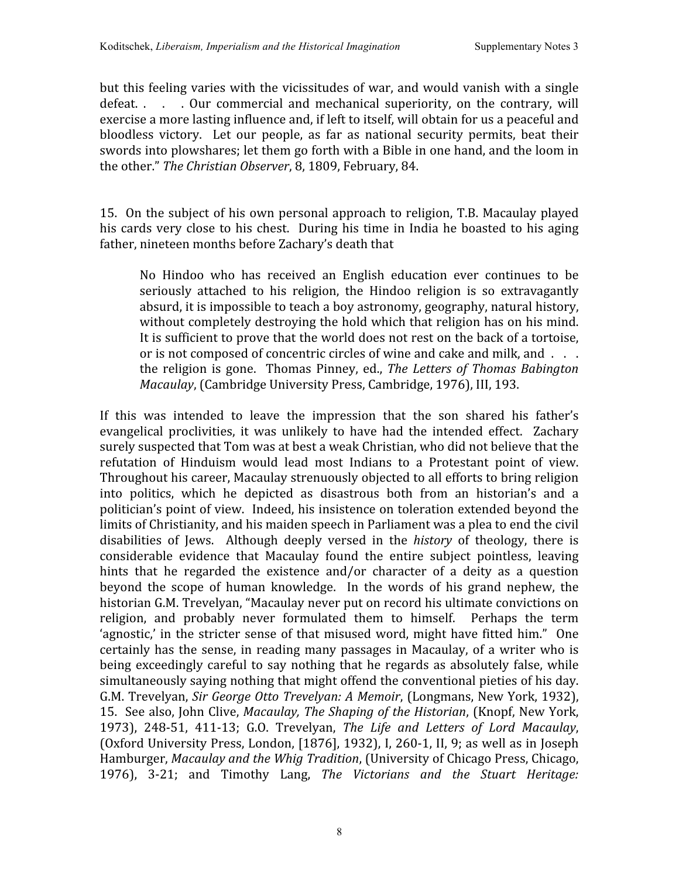but this feeling varies with the vicissitudes of war, and would vanish with a single defeat. . . . Our commercial and mechanical superiority, on the contrary, will exercise a more lasting influence and, if left to itself, will obtain for us a peaceful and bloodless victory. Let our people, as far as national security permits, beat their swords into plowshares; let them go forth with a Bible in one hand, and the loom in the
other." *The
Christian
Observer*,
8,
1809,
February,
84.

15. On
the
subject
of
his
own
personal
approach
to
religion,
T.B.
Macaulay
played his cards very close to his chest. During his time in India he boasted to his aging father,
nineteen
months
before
Zachary's
death
that

No Hindoo who has received an English education ever continues to be seriously attached to his religion, the Hindoo religion is so extravagantly absurd, it is impossible to teach a boy astronomy, geography, natural history, without completely destroying the hold which that religion has on his mind. It is sufficient to prove that the world does not rest on the back of a tortoise, or is not composed of concentric circles of wine and cake and milk, and . . . the religion is gone. Thomas
Pinney, ed., *The Letters of Thomas
Babington* Macaulay, (Cambridge University Press, Cambridge, 1976), III, 193.

If this was intended to leave the impression that the son shared his father's evangelical proclivities, it was unlikely to have had the intended effect. Zachary surely suspected that Tom was at best a weak Christian, who did not believe that the refutation of Hinduism would lead most Indians to a Protestant point of view. Throughout
his
career,
Macaulay
strenuously
objected
to
all
efforts
to
bring
religion into politics, which he depicted as disastrous both from an historian's and a politician's
point
of
view. Indeed,
his
insistence
on
toleration
extended
beyond
the limits of Christianity, and his maiden speech in Parliament was a plea to end the civil disabilities of Jews. Although deeply versed in the *history* of theology, there is considerable evidence that Macaulay found the entire subject pointless. leaving hints that he regarded the existence and/or character of a deity as a question beyond the scope of human knowledge. In the words of his grand nephew, the historian G.M. Trevelyan, "Macaulay never put on record his ultimate convictions on religion, and probably never formulated them to himself. Perhaps the term 'agnostic,' in the stricter sense of that misused word, might have fitted him." One certainly has the sense, in reading many passages in Macaulay, of a writer who is being exceedingly careful to say nothing that he regards as absolutely false, while simultaneously saying nothing that might offend the conventional pieties of his day. G.M. Trevelyan, *Sir George Otto Trevelyan: A Memoir*, (Longmans, New York, 1932), 15. See
also,
John
Clive, *Macaulay, The
Shaping
of
the
Historian*, (Knopf,
New
York, 1973), 248‐51, 411‐13; G.O. Trevelyan, *The Life and Letters of Lord Macaulay*, (Oxford
University
Press,
London,
[1876],
1932),
I,
260‐1,
II,
9;
as
well
as
in
Joseph Hamburger, *Macaulay and the Whig Tradition*, (University of Chicago Press, Chicago, 1976), 3‐21; and Timothy Lang, *The Victorians and the Stuart Heritage:*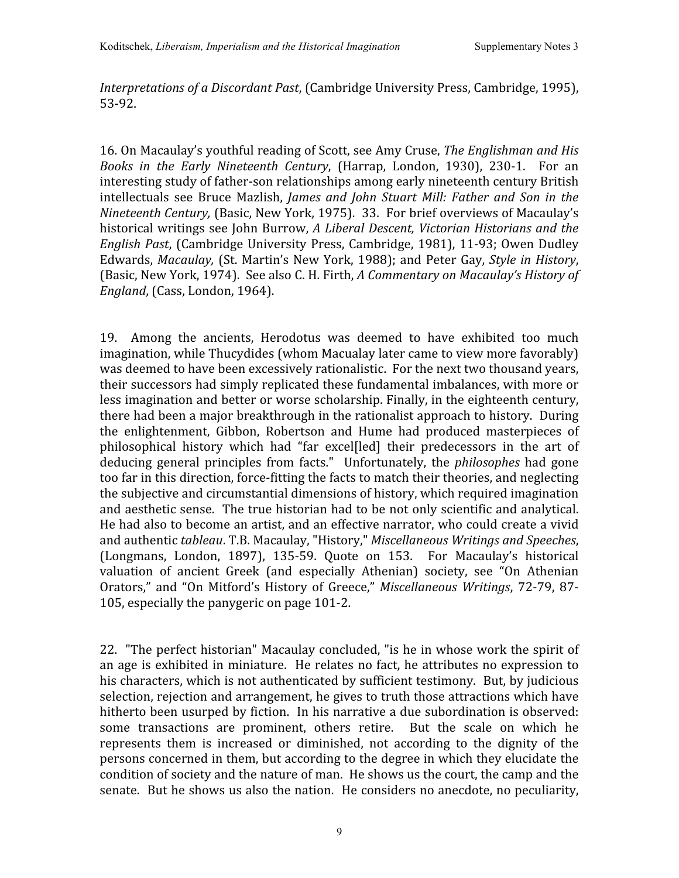Interpretations of a Discordant Past, (Cambridge University Press, Cambridge, 1995), 53‐92.

16.
On
Macaulay's
youthful
reading
of
Scott,
see
Amy
Cruse, *The
Englishman
and
His Books in the Early Nineteenth Century*, (Harrap, London, 1930), 230‐1. For an interesting study of father-son relationships among early nineteenth century British intellectuals see Bruce Mazlish, James and John Stuart Mill: Father and Son in the Nineteenth Century, (Basic, New York, 1975). 33. For brief overviews of Macaulay's historical writings see John Burrow, A Liberal Descent, Victorian Historians and the English Past, (Cambridge University Press, Cambridge, 1981), 11-93; Owen Dudley Edwards, Macaulay, (St. Martin's New York, 1988); and Peter Gay, Style in History, (Basic,
New
York,
1974). See
also
C.
H.
Firth, *A
Commentary
on
Macaulay's
History
of England*,
(Cass,
London,
1964).

19. Among the ancients, Herodotus was deemed to have exhibited too much imagination,
while
Thucydides
(whom
Macualay
later
came
to
view
more
favorably) was deemed to have been excessively rationalistic. For the next two thousand years, their
successors
had
simply
replicated
these
fundamental
imbalances,
with
more
or less
imagination
and
better
or
worse
scholarship.
Finally,
in
the
eighteenth
century, there had been a major breakthrough in the rationalist approach to history. During the enlightenment, Gibbon, Robertson and Hume had produced masterpieces of philosophical history which had "far excel[led] their predecessors in the art of deducing general principles from facts." Unfortunately,
the *philosophes* had gone too far in this direction, force-fitting the facts to match their theories, and neglecting the
subjective
and
circumstantial
dimensions
of
history,
which
required
imagination and
aesthetic
sense. The
true
historian
had
to
be
not
only
scientific
and
analytical. He had also to become an artist, and an effective narrator, who could create a vivid and authentic *tableau*. T.B. Macaulay, "History," Miscellaneous Writings and Speeches, (Longmans, London, 1897), 135‐59. Quote on 153. For Macaulay's historical valuation of ancient Greek (and especially Athenian) society, see "On Athenian Orators," and "On Mitford's History of Greece," Miscellaneous Writings, 72-79, 87-105,
especially
the
panygeric
on
page
101‐2.

22. "The
perfect
historian"
Macaulay
concluded,
"is
he
in
whose
work
the
spirit
of an
age
is
exhibited
in
miniature. He
relates
no
fact,
he
attributes
no
expression
to his characters, which is not authenticated by sufficient testimony. But, by judicious selection, rejection and arrangement, he gives to truth those attractions which have hitherto been usurped by fiction. In his narrative a due subordination is observed: some transactions are prominent, others retire. But the scale on which he represents them is increased or diminished, not according to the dignity of the persons
concerned
in
them,
but
according
to
the
degree
in
which
they elucidate
the condition
of
society
and
the
nature
of
man. He
shows
us
the
court,
the
camp
and
the senate. But he shows us also the nation. He considers no anecdote, no peculiarity,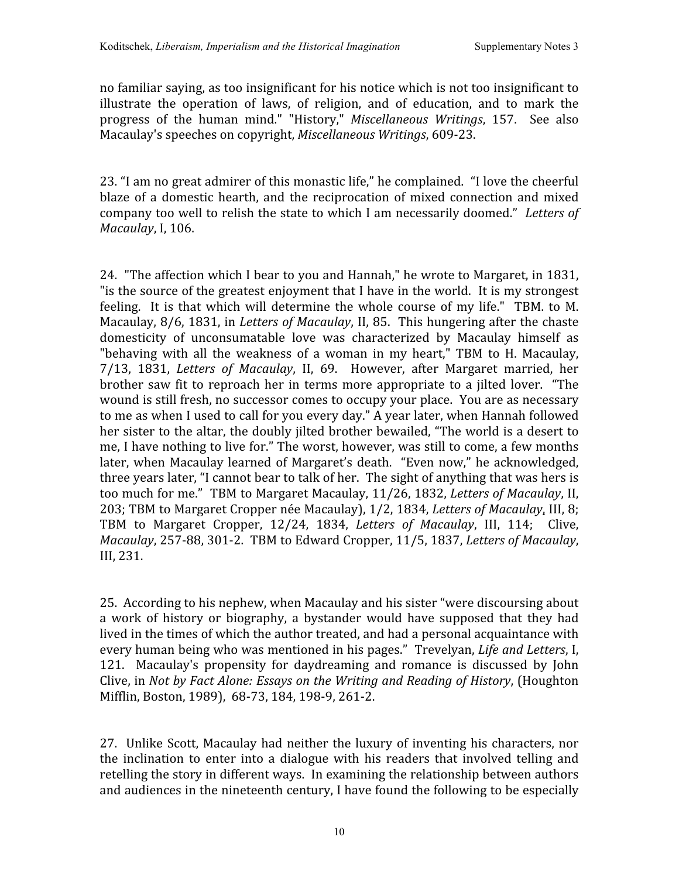no familiar saying, as too insignificant for his notice which is not too insignificant to illustrate the operation of laws, of religion, and of education, and to mark the progress of the human mind." "History," *Miscellaneous Writings*, 157. See also Macaulay's
speeches
on
copyright, *Miscellaneous
Writings*,
609‐23.

23. "I am no great admirer of this monastic life," he complained. "I love the cheerful blaze of a domestic hearth, and the reciprocation of mixed connection and mixed company too well to relish the state to which I am necessarily doomed." Letters of *Macaulay*,
I,
106.

24. "The
affection
which
I
bear
to
you
and
Hannah,"
he
wrote
to
Margaret,
in
1831, "is the source of the greatest enjoyment that I have in the world. It is my strongest feeling. It is that which will determine the whole course of my life." TBM, to M. Macaulay, 8/6, 1831, in *Letters of Macaulay*, II, 85. This hungering after the chaste domesticity of unconsumatable love was characterized by Macaulay himself as "behaving with all the weakness of a woman in my heart," TBM to H. Macaulay, 7/13, 1831, *Letters of Macaulay*, II, 69. However, after Margaret married, her brother saw fit to reproach her in terms more appropriate to a jilted lover. "The wound is still fresh, no successor comes to occupy your place. You are as necessary to me as when I used to call for you every day." A year later, when Hannah followed her sister to the altar, the doubly jilted brother bewailed, "The world is a desert to me, I have nothing to live for." The worst, however, was still to come, a few months later,
when
Macaulay
learned
of
Margaret's
death. "Even
now,"
he
acknowledged, three years later, "I cannot bear to talk of her. The sight of anything that was hers is too
much
for
me." TBM
to
Margaret
Macaulay,
11/26,
1832, *Letters
of
Macaulay*,
II, 203;
TBM
to
Margaret
Cropper
née
Macaulay),
1/2,
1834, *Letters
of
Macaulay*, III,
8; TBM to Margaret Cropper, 12/24, 1834, Letters of Macaulay, III, 114; Clive, Macaulay, 257-88, 301-2. TBM to Edward Cropper, 11/5, 1837, Letters of Macaulay, III,
231.

25. According
to
his nephew,
when
Macaulay
and
his
sister
"were
discoursing
about a work of history or biography, a bystander would have supposed that they had lived in the times of which the author treated, and had a personal acquaintance with every
human
being
who
was
mentioned
in
his
pages." Trevelyan, *Life
and
Letters*,
I, 121. Macaulay's propensity for daydreaming and romance is discussed by John Clive,
in *Not
by
Fact
Alone:
Essays
on
the
Writing
and
Reading
of
History*, (Houghton Mifflin, Boston, 1989), 68-73, 184, 198-9, 261-2.

27. Unlike
Scott,
Macaulay
had
neither
the
luxury
of
inventing
his characters,
nor the inclination to enter into a dialogue with his readers that involved telling and retelling
the
story
in
different
ways. In
examining
the
relationship
between
authors and audiences in the nineteenth century. I have found the following to be especially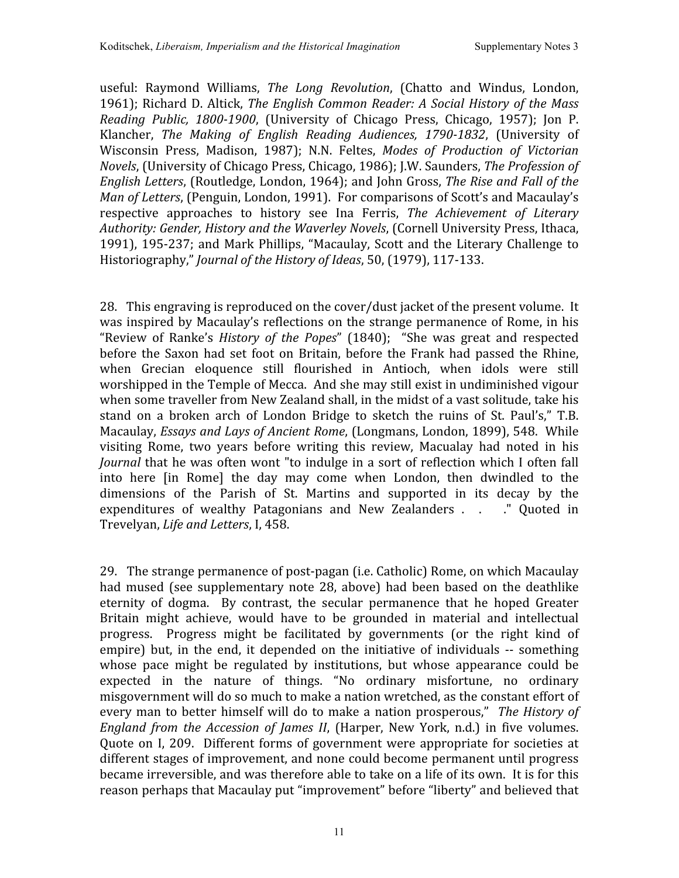useful: Raymond Williams, The Long Revolution, (Chatto and Windus, London, 1961);
Richard
D.
Altick, *The
English
Common
Reader:
A
Social
History
of
the
Mass*  Reading Public, 1800-1900, (University of Chicago Press, Chicago, 1957); Jon P. Klancher, The Making of English Reading Audiences, 1790-1832, (University of Wisconsin Press, Madison, 1987); N.N. Feltes, *Modes of Production of Victorian Novels*,
(University
of
Chicago
Press,
Chicago,
1986);
J.W.
Saunders, *The
Profession
of English
Letters*,
(Routledge,
London,
1964);
and
John
Gross, *The
Rise
and
Fall
of
the*  Man of Letters, (Penguin, London, 1991). For comparisons of Scott's and Macaulay's respective approaches to history see Ina Ferris, *The Achievement of Literary*  Authority: Gender, History and the Waverley Novels, (Cornell University Press, Ithaca, 1991),
195‐237;
and
Mark
Phillips,
"Macaulay, Scott and
the
Literary
Challenge
to Historiography," *Journal of the History of Ideas*, 50, (1979), 117-133.

28. This engraving is reproduced on the cover/dust jacket of the present volume. It was inspired by Macaulay's reflections on the strange permanence of Rome, in his "Review of Ranke's *History of the Popes*" (1840); "She was great and respected before the Saxon had set foot on Britain, before the Frank had passed the Rhine, when Grecian eloquence still flourished in Antioch, when idols were still worshipped in the Temple of Mecca. And she may still exist in undiminished vigour when some traveller from New Zealand shall, in the midst of a vast solitude, take his stand on a broken arch of London Bridge to sketch the ruins of St. Paul's," T.B. Macaulay, *Essays and Lays of Ancient Rome*, (Longmans, London, 1899), 548. While visiting Rome, two years before writing this review. Macualay had noted in his Journal that he was often wont "to indulge in a sort of reflection which I often fall into here [in Rome] the day may come when London, then dwindled to the dimensions of the Parish of St. Martins and supported in its decay by the expenditures of wealthy Patagonians and New Zealanders . . . . " Ouoted in Trevelyan, *Life
and
Letters*,
I,
458.

29. The
strange
permanence
of
post‐pagan
(i.e.
Catholic)
Rome,
on
which
Macaulay had mused (see supplementary note 28, above) had been based on the deathlike eternity of dogma. By contrast, the secular permanence that he hoped Greater Britain might achieve, would have to be grounded in material and intellectual progress. Progress might be facilitated by governments (or the right kind of empire) but, in the end, it depended on the initiative of individuals -- something whose pace might be regulated by institutions, but whose appearance could be expected in the nature of things. "No ordinary misfortune, no ordinary misgovernment will do so much to make a nation wretched, as the constant effort of every man to better himself will do to make a nation prosperous," The History of *England from the Accession of James II, (Harper, New York, n.d.)* in five volumes. Quote on I, 209. Different forms of government were appropriate for societies at different
stages
of
improvement,
and
none
could
become
permanent
until
progress became irreversible, and was therefore able to take on a life of its own. It is for this reason perhaps that Macaulay put "improvement" before "liberty" and believed that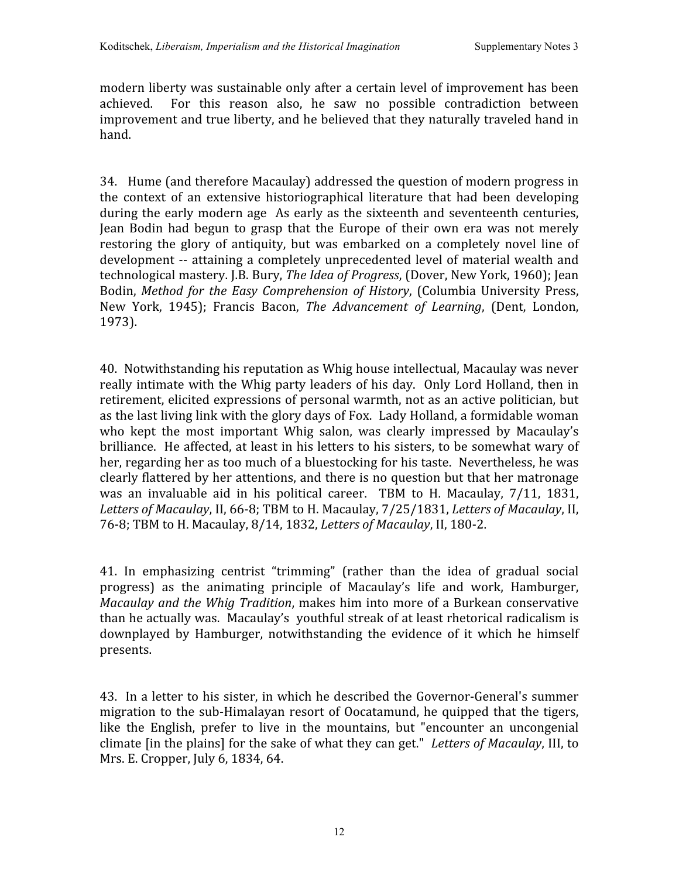modern liberty was sustainable only after a certain level of improvement has been achieved. For this reason also, he saw no possible contradiction between improvement and true liberty, and he believed that they naturally traveled hand in hand.

34. Hume
(and
therefore
Macaulay)
addressed
the
question
of
modern
progress
in the context of an extensive historiographical literature that had been developing during the early modern age As early as the sixteenth and seventeenth centuries, Jean Bodin had begun
to grasp
that
the Europe of
their own era was not merely restoring the glory of antiquity, but was embarked on a completely novel line of development
‐‐ attaining
a
completely
unprecedented
level
of
material
wealth
and technological mastery. J.B. Bury, *The Idea of Progress*, (Dover, New York, 1960); Jean Bodin, Method for the Easy Comprehension of History, (Columbia University Press, New York, 1945); Francis Bacon, *The Advancement of Learning*, (Dent, London, 1973).

40. Notwithstanding
his
reputation
as
Whig
house
intellectual,
Macaulay
was
never really intimate with the Whig party leaders of his day. Only Lord Holland, then in retirement,
elicited
expressions
of
personal
warmth,
not
as
an
active
politician, but as
the
last
living
link
with
the
glory
days
of
Fox. Lady
Holland,
a
formidable
woman who kept the most important Whig salon, was clearly impressed by Macaulay's brilliance. He
affected,
at
least
in
his
letters
to
his
sisters,
to
be
somewhat
wary
of her, regarding her as too much of a bluestocking for his taste. Nevertheless, he was clearly
flattered
by
her
attentions,
and
there
is
no
question
but
that
her
matronage was an invaluable aid in his political career. TBM to H. Macaulay, 7/11, 1831, *Letters
of
Macaulay*,
II,
66‐8;
TBM
to
H.
Macaulay,
7/25/1831, *Letters
of
Macaulay*,
II, 76‐8;
TBM
to
H.
Macaulay,
8/14,
1832, *Letters
of
Macaulay*,
II,
180‐2.

41. In emphasizing centrist "trimming" (rather than the idea of gradual social progress) as the animating principle of Macaulay's life and work, Hamburger, Macaulay and the Whig Tradition, makes him into more of a Burkean conservative than he actually was. Macaulay's youthful streak of at least rhetorical radicalism is downplayed by Hamburger, notwithstanding the evidence of it which he himself presents.

43. In
a
letter
to
his
sister,
in
which
he
described
the
Governor‐General's
summer migration to the sub-Himalayan resort of Oocatamund, he quipped that the tigers, like the English, prefer to live in the mountains, but "encounter an uncongenial climate
[in
the
plains]
for
the
sake
of
what
they
can
get." *Letters
of
Macaulay*,
III,
to Mrs.
E.
Cropper,
July
6,
1834,
64.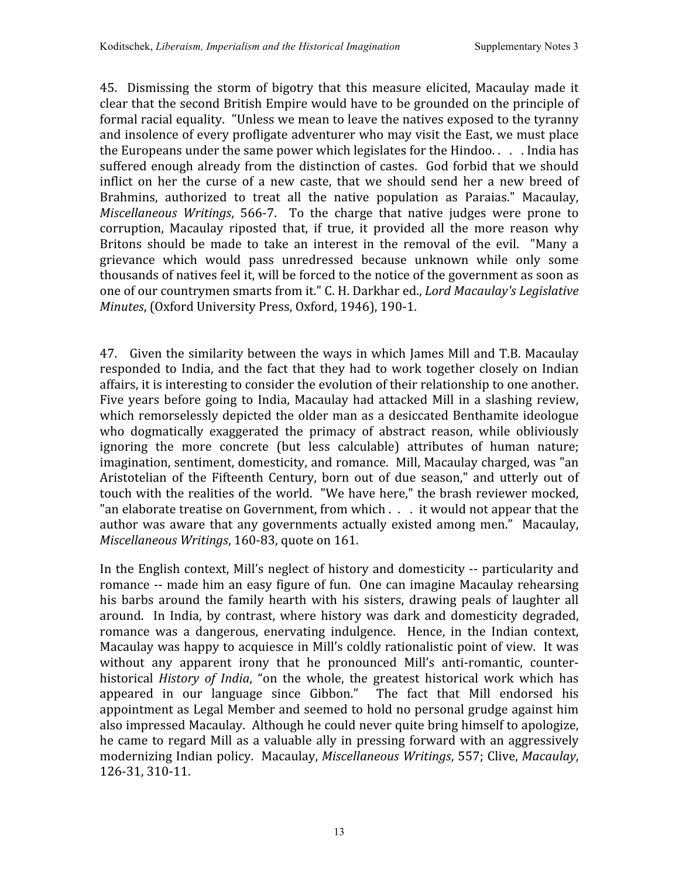45. Dismissing
the storm of bigotry
that
this measure elicited, Macaulay made it clear
that
the
second
British
Empire
would
have
to
be
grounded
on
the
principle
of formal
racial
equality. "Unless
we
mean
to
leave
the
natives
exposed
to
the
tyranny and
insolence
of
every
profligate adventurer
who
may
visit
the
East,
we
must
place the Europeans under the same power which legislates for the Hindoo....India has suffered enough already from the distinction of castes. God forbid that we should inflict on her the curse of a new caste, that we should send her a new breed of Brahmins, authorized to treat all the native population as Paraias." Macaulay, *Miscellaneous Writings*, 566-7. To the charge that native judges were prone to corruption, Macaulay riposted that, if true, it provided all the more reason why Britons should be made to take an interest in the removal of the evil. "Many a grievance which would pass unredressed because unknown while only some thousands
of
natives
feel
it,
will
be
forced
to
the
notice
of
the
government
as
soon
as one
of
our
countrymen
smarts
from
it."
C.
H.
Darkhar
ed., *Lord
Macaulay's
Legislative*  Minutes, (Oxford University Press, Oxford, 1946), 190-1.

47. Given
the
similarity
between
the
ways
in
which
James
Mill
and
T.B.
Macaulay responded to India, and the fact that they had to work together closely on Indian affairs,
it
is
interesting
to
consider
the
evolution
of
their
relationship
to
one
another. Five years before going to India, Macaulay had attacked Mill in a slashing review, which remorselessly depicted the older man as a desiccated Benthamite ideologue who dogmatically exaggerated the primacy of abstract reason, while obliviously ignoring the more concrete (but less calculable) attributes of human nature; imagination,
sentiment,
domesticity,
and
romance. Mill,
Macaulay
charged,
was
"an Aristotelian of the Fifteenth Century, born out of due season," and utterly out of touch with the realities of the world. "We have here," the brash reviewer mocked, "an elaborate treatise on Government, from which . . . it would not appear that the author was aware that any governments actually existed among men." Macaulay, *Miscellaneous
Writings*,
160‐83,
quote
on
161.

In the English context, Mill's neglect of history and domesticity -- particularity and romance -- made him an easy figure of fun. One can imagine Macaulay rehearsing his barbs around the family hearth with his sisters, drawing peals of laughter all around. In
India, by contrast,
where history
was dark and domesticity degraded, romance was a dangerous, enervating indulgence. Hence, in the Indian context, Macaulay was happy to acquiesce in Mill's coldly rationalistic point of view. It was without any apparent irony that he pronounced Mill's anti-romantic, counterhistorical *History of India*, "on the whole, the greatest historical work which has appeared in our language since Gibbon." The fact that Mill endorsed his appointment as Legal Member and seemed to hold no personal grudge against him also
impressed
Macaulay. Although
he
could
never
quite
bring
himself
to
apologize, he came to regard Mill as a valuable ally in pressing forward with an aggressively modernizing Indian policy. Macaulay, Miscellaneous Writings, 557; Clive, Macaulay, 126‐31,
310‐11.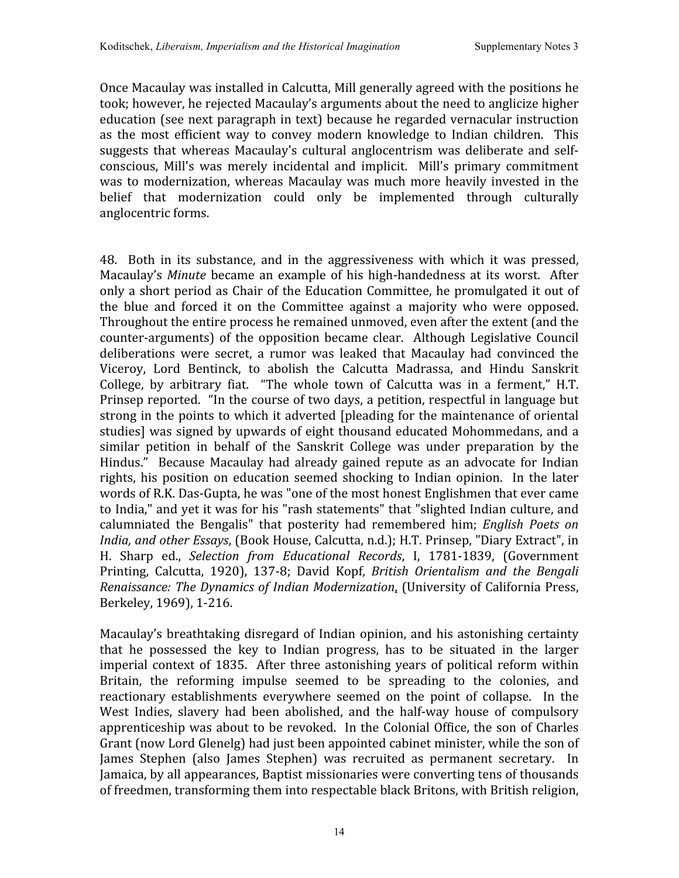Once Macaulay was installed in Calcutta, Mill generally agreed with the positions he took;
however, he
rejected
Macaulay's
arguments
about
the
need
to
anglicize
higher education
(see
next
paragraph
in
text)
because
he
regarded
vernacular
instruction as the most efficient way to convey modern knowledge to Indian children. This suggests that whereas Macaulay's cultural anglocentrism was deliberate and selfconscious, Mill's was merely incidental and implicit. Mill's primary commitment was to modernization, whereas Macaulay was much more heavily invested in the belief that modernization could only be implemented through culturally anglocentric
forms.

48. Both in its substance, and in the aggressiveness with which it was pressed, Macaulay's Minute became an example of his high-handedness at its worst. After only a short period as Chair of the Education Committee, he promulgated it out of the blue and forced it on the Committee against a majority who were opposed. Throughout
the
entire
process
he
remained
unmoved,
even
after
the
extent
(and
the counter‐arguments) of
the opposition became clear. Although Legislative Council deliberations were secret, a rumor was leaked that Macaulay had convinced the Viceroy, Lord Bentinck, to abolish the Calcutta Madrassa, and Hindu Sanskrit College, by arbitrary fiat. "The whole town of Calcutta was in a ferment," H.T. Prinsep reported. "In the course of two days, a petition, respectful in language but strong in the points to which it adverted [pleading for the maintenance of oriental studies] was signed by upwards of eight thousand educated Mohommedans, and a similar petition in behalf of the Sanskrit College was under preparation by the Hindus." Because Macaulay had already gained repute as an advocate for Indian rights, his position on education seemed shocking to Indian opinion. In the later words of R.K. Das-Gupta, he was "one of the most honest Englishmen that ever came to India," and yet it was for his "rash statements" that "slighted Indian culture, and calumniated the Bengalis" that posterity had remembered him; *English Poets on*  India, and other Essays, (Book House, Calcutta, n.d.); H.T. Prinsep, "Diary Extract", in H. Sharp ed., *Selection from Educational Records*, I, 1781‐1839, (Government Printing, Calcutta, 1920), 137‐8; David Kopf, *British Orientalism and the Bengali Renaissance:
The
Dynamics
of
Indian
Modernization*, (University
of
California
Press, Berkeley,
1969),
1‐216.

Macaulay's
breathtaking
disregard
of
Indian
opinion,
and
his
astonishing
certainty that he possessed the key to Indian progress, has to be situated in the larger imperial context of 1835. After three astonishing years of political reform within Britain, the reforming impulse seemed to be spreading to the colonies, and reactionary establishments everywhere seemed on the point of collapse. In the West Indies, slavery had been abolished, and the half-way house of compulsory apprenticeship
was
about
to
be
revoked. In
the
Colonial
Office,
the
son
of
Charles Grant (now Lord Glenelg) had just been appointed cabinet minister, while the son of James Stephen (also James Stephen) was recruited as permanent secretary. In Jamaica, by all appearances, Baptist missionaries were converting tens of thousands of freedmen, transforming them into respectable black Britons, with British religion,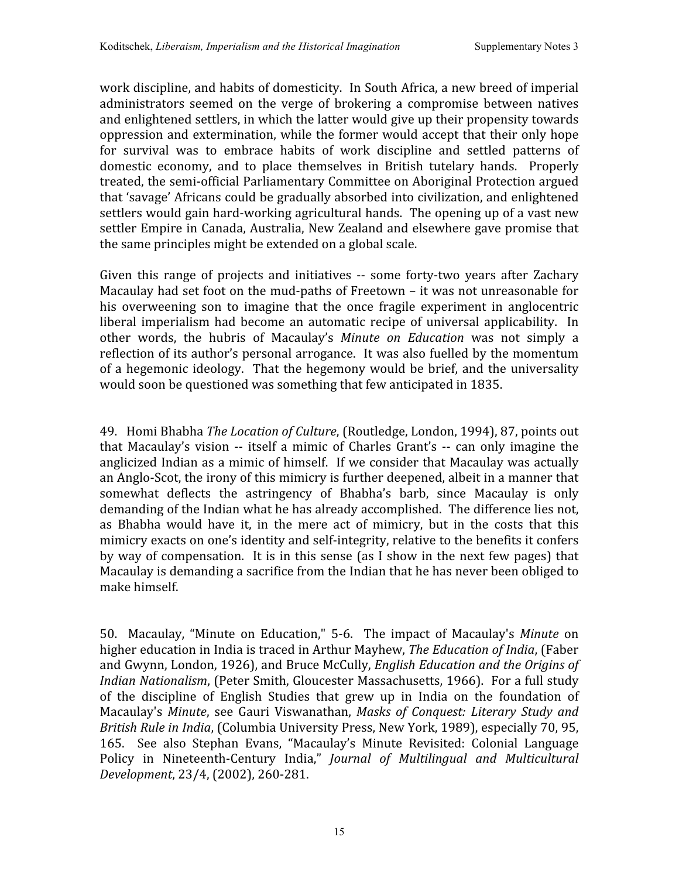work discipline, and habits of domesticity. In South Africa, a new breed of imperial administrators seemed on the verge of brokering a compromise between natives and
enlightened
settlers,
in
which
the
latter
would
give
up
their
propensity
towards oppression
and
extermination,
while
the
former
would
accept
that
their
only
hope for survival was to embrace habits of work discipline and settled patterns of domestic economy, and to place themselves in British tutelary hands. Properly treated,
the
semi‐official
Parliamentary
Committee
on
Aboriginal
Protection argued that 'savage'
Africans
could
be
gradually
absorbed
into
civilization,
and
enlightened settlers would gain hard-working agricultural hands. The opening up of a vast new settler Empire in Canada, Australia, New Zealand and elsewhere gave promise that the
same
principles
might
be
extended
on
a
global
scale.

Given this range of projects and initiatives -- some forty-two years after Zachary Macaulay had set foot on the mud-paths of Freetown - it was not unreasonable for his overweening son to imagine that the once fragile experiment in anglocentric liberal imperialism had become an automatic recipe of universal applicability. In other words, the hubris of Macaulay's *Minute on Education* was not simply a reflection of its author's personal arrogance. It was also fuelled by the momentum of
a
hegemonic
ideology. That
the
hegemony
would
be
brief,
and
the
universality would
soon
be
questioned
was
something
that
few
anticipated
in
1835.

49. Homi
Bhabha *The
Location
of
Culture*,
(Routledge,
London,
1994),
87,
points
out that Macaulay's vision -- itself a mimic of Charles Grant's -- can only imagine the anglicized Indian as a mimic of himself. If we consider that Macaulay was actually an
Anglo‐Scot,
the irony
of
this
mimicry
is
further
deepened,
albeit
in
a
manner
that somewhat deflects the astringency of Bhabha's barb, since Macaulay is only demanding of the Indian what he has already accomplished. The difference lies not, as Bhabha would have it, in the mere act of mimicry, but in the costs that this mimicry exacts on one's identity and self-integrity, relative to the benefits it confers by way of compensation. It is in this sense (as I show in the next few pages) that Macaulay is demanding a sacrifice from the Indian that he has never been obliged to make
himself.

50. Macaulay,
"Minute on Education," 5‐6. The impact of Macaulay's *Minute* on higher education in India is traced in Arthur Mayhew, *The Education of India*, (Faber and Gwynn, London, 1926), and Bruce McCully, *English Education and the Origins of* Indian Nationalism, (Peter Smith, Gloucester Massachusetts, 1966). For a full study of the discipline of English Studies that grew up in India on the foundation of Macaulay's Minute, see Gauri Viswanathan, Masks of Conquest: Literary Study and British Rule in *India*, (Columbia University Press, New York, 1989), especially 70, 95, 165. See also Stephan Evans, "Macaulay's Minute Revisited: Colonial Language Policy in Nineteenth-Century India," *Journal of Multilingual and Multicultural Development*,
23/4,
(2002),
260‐281.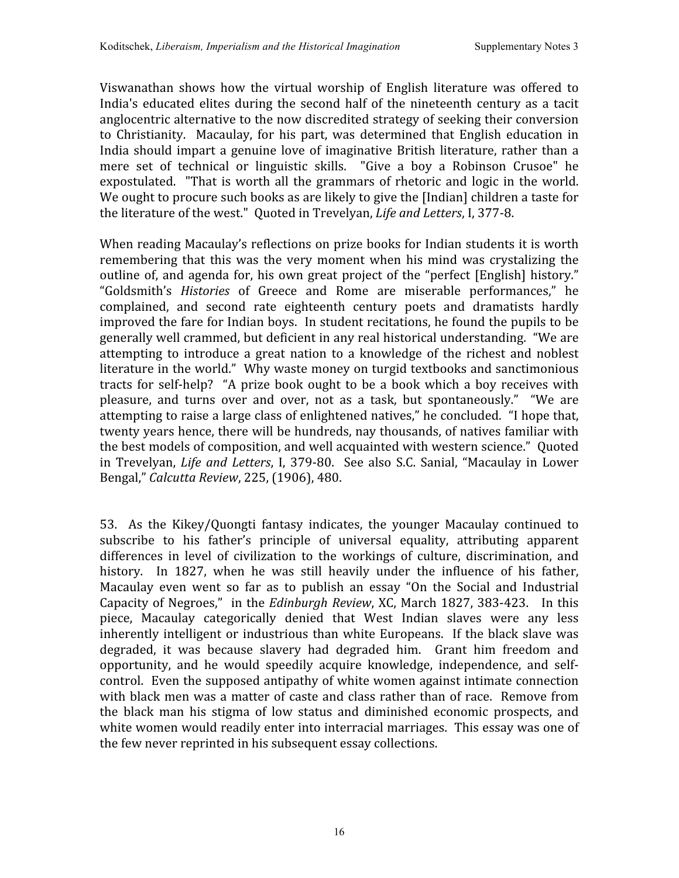Viswanathan shows how the virtual worship of English literature was offered to India's educated elites during the second half of the nineteenth century as a tacit anglocentric
alternative
to
the
now
discredited
strategy
of
seeking
their
conversion to Christianity. Macaulay, for his part, was determined that English education in India should impart a genuine love of imaginative British literature, rather than a mere set of technical or linguistic skills. "Give a boy a Robinson Crusoe" he expostulated. "That is worth all the grammars of rhetoric and logic in the world. We ought to procure such books as are likely to give the [Indian] children a taste for the literature of the west." Quoted in Trevelyan, *Life and Letters*, I, 377-8.

When reading Macaulay's reflections on prize books for Indian students it is worth remembering that this was the very moment when his mind was crystalizing the outline of, and agenda for, his own great project of the "perfect [English] history." "Goldsmith's *Histories* of Greece and Rome are miserable performances," he complained, and second rate eighteenth century poets and dramatists hardly improved
the
fare for
Indian
boys. In
student
recitations,
he
found
the
pupils
to
be generally
well
crammed,
but
deficient
in
any
real
historical
understanding. "We
are attempting
to introduce a great nation
to a knowledge of
the richest and noblest literature in the world." Why waste money on turgid textbooks and sanctimonious tracts for self-help? "A prize book ought to be a book which a boy receives with pleasure, and turns over and over, not as a task, but spontaneously." "We are attempting
to
raise
a
large
class
of
enlightened
natives,"
he
concluded. "I
hope
that, twenty years hence, there will be hundreds, nay thousands, of natives familiar with the best models of composition, and well acquainted with western science." Ouoted in Trevelyan, *Life and Letters*, I, 379-80. See also S.C. Sanial, "Macaulay in Lower Bengal," *Calcutta
Review*,
225,
(1906),
480.

53. As the Kikey/Quongti fantasy indicates, the younger Macaulay continued to subscribe to his father's principle of universal equality, attributing apparent differences in level of civilization to the workings of culture, discrimination, and history. In 1827, when he was still heavily under the influence of his father, Macaulay even went so far as to publish an essay "On the Social and Industrial Capacity of Negroes," in the *Edinburgh Review*, XC, March 1827, 383-423. In this piece, Macaulay categorically denied that West Indian slaves were any less inherently intelligent or industrious than white Europeans. If the black slave was degraded, it was because slavery had degraded him. Grant him freedom and opportunity, and he would speedily acquire knowledge, independence, and self‐ control. Even
the
supposed
antipathy
of
white
women
against
intimate
connection with black men was a matter of caste and class rather than of race. Remove from the black man his stigma of low status and diminished economic prospects, and white women would readily enter into interracial marriages. This essay was one of the
few
never
reprinted
in
his
subsequent
essay
collections.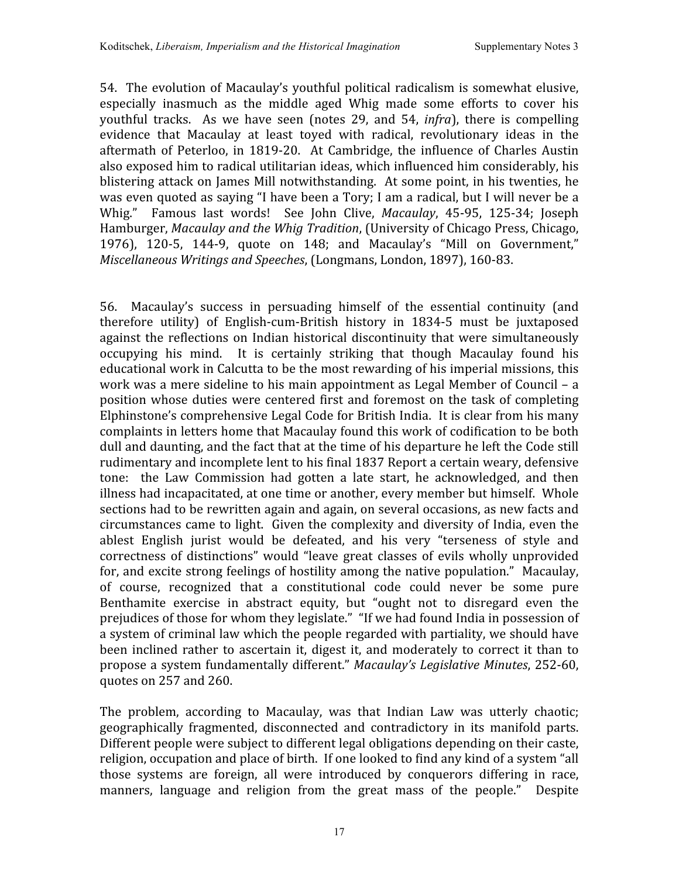54. The
evolution
of
Macaulay's
youthful
political radicalism
is
somewhat
elusive, especially inasmuch as the middle aged Whig made some efforts to cover his youthful tracks. As we have seen (notes 29, and 54, *infra*), there is compelling evidence that Macaulay at least toyed with radical, revolutionary ideas in the aftermath of Peterloo, in 1819-20. At Cambridge, the influence of Charles Austin also
exposed
him
to
radical
utilitarian
ideas,
which
influenced
him
considerably,
his blistering
attack
on
James
Mill
notwithstanding. At
some
point,
in
his
twenties,
he was even quoted as saying "I have been a Tory; I am a radical, but I will never be a Whig." Famous last words! See John Clive, *Macaulay*, 45-95, 125-34; Joseph Hamburger, *Macaulay and the Whig Tradition*, (University of Chicago Press, Chicago, 1976), 120‐5, 144‐9, quote on 148; and Macaulay's "Mill on Government," *Miscellaneous
Writings
and
Speeches*,
(Longmans,
London,
1897),
160‐83.

56. Macaulay's success in persuading himself of the essential continuity (and therefore utility) of English‐cum‐British history in 1834‐5 must be juxtaposed against
the reflections
on
Indian
historical
discontinuity
that
were simultaneously occupying his mind. It is certainly striking that though Macaulay found his educational work in Calcutta to be the most rewarding of his imperial missions, this work was a mere sideline to his main appointment as Legal Member of Council - a position
whose
duties
were centered first
and
foremost
on
the
task
of completing Elphinstone's comprehensive Legal Code for British India. It is clear from his many complaints
in
letters
home that
Macaulay
found
this
work
of
codification
to
be
both dull and daunting, and the fact that at the time of his departure he left the Code still rudimentary
and
incomplete
lent
to
his
final
1837
Report
a
certain
weary,
defensive tone: the Law Commission had gotten a late start, he acknowledged, and then illness had incapacitated, at one time or another, every member but himself. Whole sections had to be rewritten again and again, on several occasions, as new facts and circumstances
came
to
light. Given
the
complexity
and
diversity
of
India,
even
the ablest English jurist would be defeated, and his very "terseness of style and correctness of distinctions"
would
"leave great classes of evils
wholly unprovided for,
and
excite
strong
feelings
of
hostility
among
the
native
population." Macaulay, of course, recognized that a constitutional code could never be some pure Benthamite exercise in abstract equity, but "ought not to disregard even the prejudices
of those
for
whom
they
legislate." "If
we
had
found
India
in
possession
of a system of criminal law which the people regarded with partiality, we should have been inclined rather to ascertain it, digest it, and moderately to correct it than to propose
a
system
fundamentally
different." *Macaulay's
Legislative
Minutes*,
252‐60, quotes
on
257
and
260.

The problem, according to Macaulay, was that Indian Law was utterly chaotic; geographically fragmented, disconnected and contradictory in its manifold parts. Different
people
were
subject
to
different
legal
obligations
depending
on
their
caste, religion, occupation and place of birth. If one looked to find any kind of a system "all those systems are foreign, all were introduced by conquerors differing in race, manners, language and religion from the great mass of the people." Despite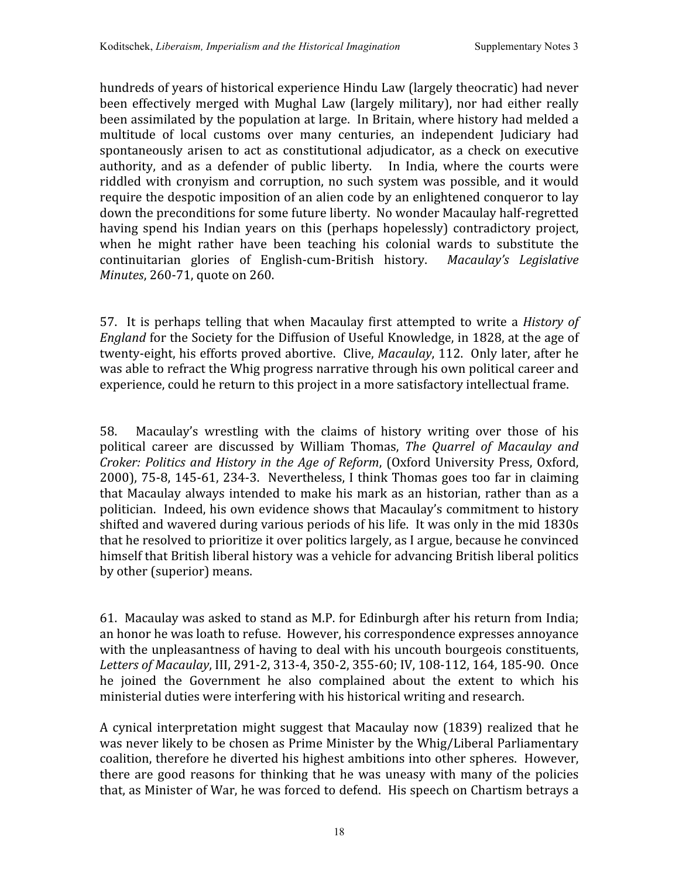hundreds
of
years
of
historical
experience
Hindu
Law
(largely
theocratic)
had
never been effectively
merged
with Mughal Law
(largely
military), nor
had either really been assimilated by the population at large. In Britain, where history had melded a multitude of local customs over many centuries, an independent Judiciary had spontaneously arisen to act as constitutional adjudicator, as a check on executive authority, and as a defender of public liberty. In India, where the courts were riddled with cronyism and corruption, no such system was possible, and it would require the despotic imposition of an alien code by an enlightened conqueror to lay down
the
preconditions
for
some future
liberty. No
wonder
Macaulay
half‐regretted having spend his Indian years on this (perhaps hopelessly) contradictory project, when he might rather have been teaching his colonial wards to substitute the continuitarian glories of English‐cum‐British history. *Macaulay's Legislative Minutes*, 260-71, quote on 260.

57. It is perhaps telling that when Macaulay first attempted to write a *History of* England for the Society for the Diffusion of Useful Knowledge, in 1828, at the age of twenty-eight, his efforts proved abortive. Clive, Macaulay, 112. Only later, after he was able to refract the Whig progress narrative through his own political career and experience,
could
he
return
to
this
project
in
a
more
satisfactory
intellectual
frame.

58. Macaulay's wrestling with the claims of history writing over those of his political career are discussed by William Thomas, The Quarrel of Macaulay and Croker: Politics and History in the Age of Reform, (Oxford University Press, Oxford, 2000), 75‐8,
145‐61,
234‐3. Nevertheless,
I
think
Thomas
goes
too
far
in
claiming that Macaulay always intended to make his mark as an historian, rather than as a politician. Indeed,
his
own
evidence
shows
that
Macaulay's
commitment
to
history shifted
and
wavered
during various
periods
of
his
life. It
was
only
in
the
mid
1830s that
he
resolved
to
prioritize
it
over
politics
largely,
as
I
argue,
because
he
convinced himself
that
British
liberal
history
was
a
vehicle
for
advancing
British
liberal
politics by
other
(superior)
means.

61. Macaulay
was
asked
to
stand
as
M.P.
for
Edinburgh
after
his
return
from
India; an
honor
he
was
loath
to
refuse. However,
his
correspondence
expresses
annoyance with the unpleasantness of having to deal with his uncouth bourgeois constituents, Letters of Macaulay, III, 291-2, 313-4, 350-2, 355-60; IV, 108-112, 164, 185-90. Once he joined the Government he also complained about the extent to which his ministerial duties were interfering with his historical writing and research.

A cynical interpretation
might suggest
that
Macaulay
now
(1839) realized
that
he was never likely to be chosen as Prime Minister by the Whig/Liberal Parliamentary coalition,
therefore
he
diverted
his
highest
ambitions
into
other
spheres. However, there are good reasons for thinking that he was uneasy with many of the policies that, as Minister of War, he was forced to defend. His speech on Chartism betrays a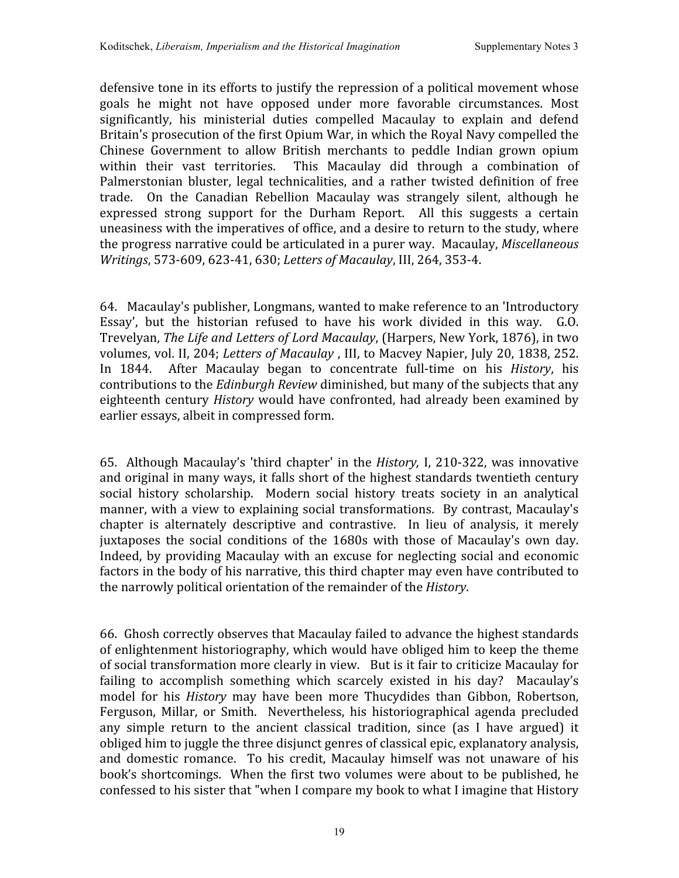defensive tone in its efforts to justify the repression of a political movement whose goals he might not have opposed under more favorable circumstances. Most significantly, his ministerial duties compelled Macaulay to explain and defend Britain's prosecution of the first Opium War, in which the Royal Navy compelled the Chinese Government to allow British merchants to peddle Indian grown opium within their vast territories. This Macaulay did through a combination of Palmerstonian bluster, legal technicalities, and a rather twisted definition of free trade. On the Canadian Rebellion Macaulay was strangely silent, although he expressed strong support for the Durham Report. All this suggests a certain uneasiness
with
the
imperatives
of
office,
and
a
desire
to
return
to
the
study,
where the
progress
narrative
could
be
articulated
in
a
purer
way. Macaulay, *Miscellaneous Writings*,
573‐609,
623‐41,
630; *Letters
of
Macaulay*,
III,
264,
353‐4.

64. Macaulay's
publisher,
Longmans,
wanted
to
make
reference
to
an
'Introductory Essay', but the historian refused to have his work divided in this way. G.O. Trevelyan, *The Life and Letters of Lord Macaulay*, (Harpers, New York, 1876), in two volumes, vol. II, 204; Letters of Macaulay, III, to Macvey Napier, July 20, 1838, 252. In 1844. After Macaulay began to concentrate full‐time on his *History*, his contributions to the *Edinburgh Review* diminished, but many of the subjects that any eighteenth century *History* would have confronted, had already been examined by earlier
essays,
albeit
in
compressed
form.

65. Although
Macaulay's 'third chapter'
in
the *History,* I,
210‐322,
was
innovative and
original
in
many
ways,
it
falls
short
of
the
highest
standards
twentieth
century social history scholarship. Modern social history treats society in an analytical manner, with a view to explaining social transformations. By contrast, Macaulay's chapter is alternately descriptive and contrastive. In lieu of analysis, it merely juxtaposes the social conditions of the 1680s with those of Macaulay's own day. Indeed, by providing Macaulay with an excuse for neglecting social and economic factors in the body of his narrative, this third chapter may even have contributed to the
narrowly
political
orientation
of
the
remainder
of
the *History*.

66. Ghosh
correctly
observes
that
Macaulay
failed
to
advance
the
highest
standards of
enlightenment
historiography,
which
would
have
obliged
him
to
keep
the
theme of
social
transformation
more
clearly
in
view. But
is
it
fair
to
criticize
Macaulay
for failing to accomplish something which scarcely existed in his day? Macaulay's model for his *History* may have been more Thucydides than Gibbon, Robertson, Ferguson, Millar, or Smith. Nevertheless, his historiographical agenda precluded any simple return to the ancient classical tradition, since (as I have argued) it obliged
him
to
juggle
the
three
disjunct
genres
of
classical
epic,
explanatory
analysis, and domestic romance. To his credit, Macaulay himself was not unaware of his book's shortcomings. When the first two volumes were about to be published, he confessed
to
his
sister
that
"when
I
compare
my
book
to
what
I
imagine
that
History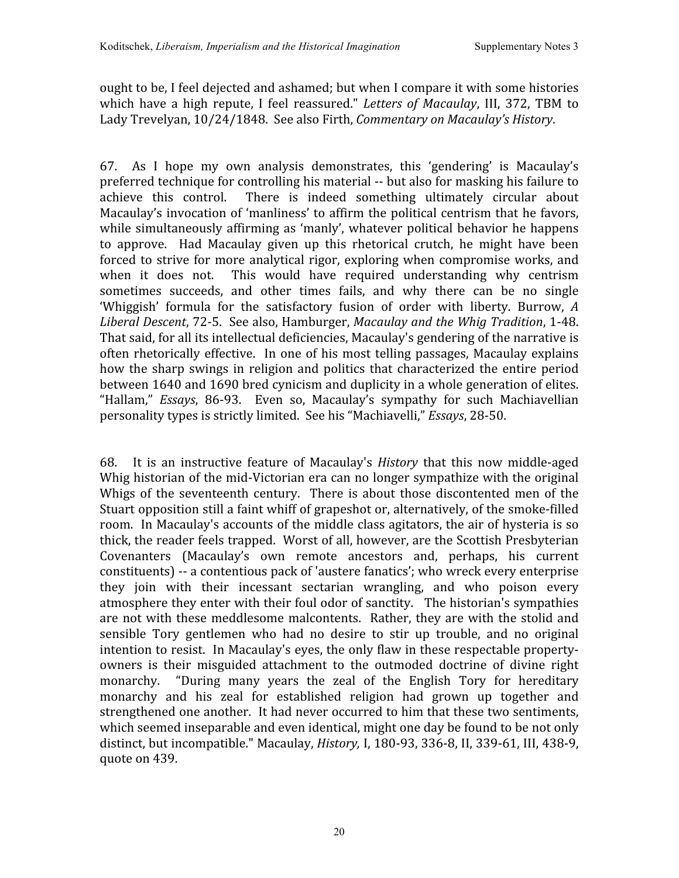ought
to
be,
I
feel
dejected
and
ashamed;
but
when
I
compare
it
with
some
histories which have a high repute, I feel reassured." Letters of Macaulay, III, 372, TBM to Lady
Trevelyan,
10/24/1848.

See
also
Firth, *Commentary
on
Macaulay's
History*.

67. As I hope my own analysis demonstrates, this 'gendering' is Macaulay's preferred technique for controlling his material -- but also for masking his failure to achieve this control. There is indeed something ultimately circular about Macaulay's invocation of 'manliness' to affirm the political centrism that he favors, while simultaneously affirming as 'manly', whatever political behavior he happens to approve. Had Macaulay given up this rhetorical crutch, he might have been forced to strive for more analytical rigor, exploring when compromise works, and when it does not. This would have required understanding why centrism sometimes succeeds, and other times fails, and why there can be no single 'Whiggish' formula for the satisfactory fusion of order with liberty, Burrow, A *Liberal
Descent*,
72‐5. See
also,
Hamburger, *Macaulay
and
the
Whig
Tradition*,
1‐48. That said, for all its intellectual deficiencies, Macaulay's gendering of the narrative is often rhetorically
effective. In
one
of
his
most
telling
passages,
Macaulay
explains how the sharp swings in religion and politics that characterized the entire period between 1640 and 1690 bred cynicism and duplicity in a whole generation of elites. "Hallam," *Essays*, 86-93. Even so, Macaulay's sympathy for such Machiavellian personality
types
is
strictly
limited.

See
his
"Machiavelli," *Essays*,
28‐50.

68. It is an instructive feature of Macaulay's *History* that this now middle‐aged Whig historian of the mid-Victorian era can no longer sympathize with the original Whigs of the seventeenth century. There is about those discontented men of the Stuart opposition still a faint whiff of grapeshot or, alternatively, of the smoke-filled room. In Macaulay's accounts of the middle class agitators, the air of hysteria is so thick,
the
reader
feels
trapped. Worst
of
all, however, are
the
Scottish
Presbyterian Covenanters (Macaulay's own remote ancestors and, perhaps, his current constituents) -- a contentious pack of 'austere fanatics'; who wreck every enterprise they join with their incessant sectarian wrangling, and who poison every atmosphere
they
enter
with
their
foul
odor
of
sanctity. The
historian's
sympathies are
not
with
these
meddlesome
malcontents. Rather,
they
are
with
the stolid
and sensible Tory gentlemen who had no desire to stir up trouble, and no original intention to resist. In Macaulay's eves, the only flaw in these respectable propertyowners is their misguided attachment to the outmoded doctrine of divine right monarchy. "During many years the zeal of the English Tory for hereditary monarchy and his zeal for established religion had grown up together and strengthened
one
another. It
had
never
occurred
to
him
that
these
two
sentiments, which seemed inseparable and even identical, might one day be found to be not only distinct, but
incompatible." Macaulay, *History,* I,
180‐93,
336‐8,
II,
339‐61,
III,
438‐9, quote
on
439.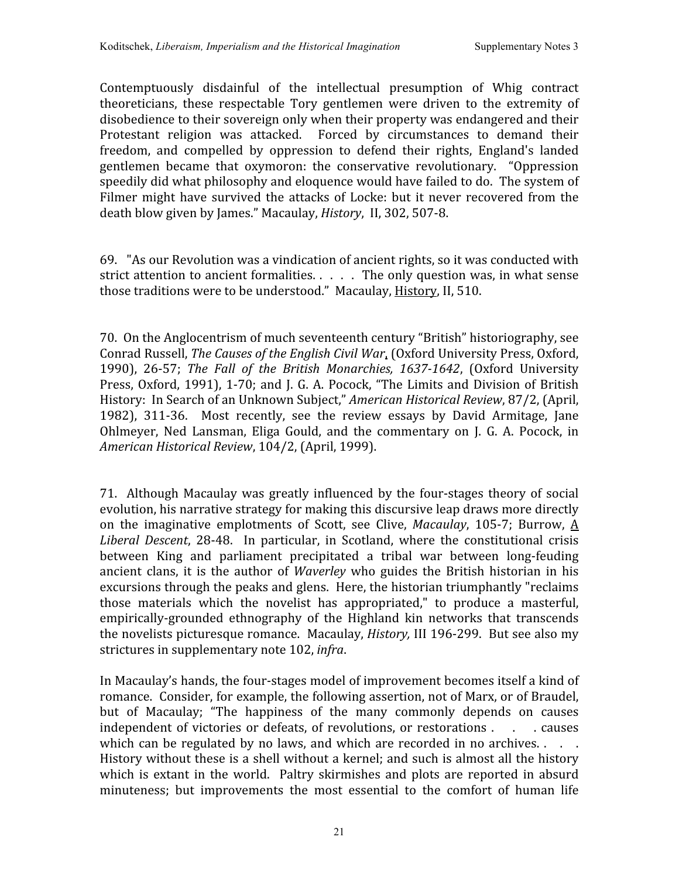Contemptuously disdainful of the intellectual presumption of Whig contract theoreticians, these respectable Tory gentlemen were driven to the extremity of disobedience
to
their
sovereign
only
when
their
property
was
endangered
and
their Protestant religion was attacked. Forced by circumstances to demand their freedom, and compelled by oppression to defend their rights, England's landed gentlemen became that oxymoron: the conservative revolutionary. "Oppression speedily did what philosophy and eloquence would have failed to do. The system of Filmer might have survived the attacks of Locke: but it never recovered from the death
blow
given
by
James."
Macaulay, *History*,

II,
302,
507‐8.

69. "As
our
Revolution
was
a
vindication
of
ancient
rights,
so
it
was
conducted
with strict attention to ancient formalities. . . . . The only question was, in what sense those traditions were to be understood." Macaulay, History, II, 510.

70. On
the
Anglocentrism
of
much
seventeenth
century
"British"
historiography,
see Conrad Russell, The Causes of the English Civil War, (Oxford University Press, Oxford, 1990), 26‐57; *The Fall of the British Monarchies, 16371642*, (Oxford University Press, Oxford, 1991), 1-70; and J. G. A. Pocock, "The Limits and Division of British History: In
Search
of
an
Unknown
Subject," *American
Historical
Review*,
87/2,
(April, 1982), 311-36. Most recently, see the review essays by David Armitage, Jane Ohlmeyer, Ned Lansman, Eliga Gould, and the commentary on J. G. A. Pocock, in *American
Historical
Review*,
104/2,
(April,
1999).

71. Although
Macaulay
was greatly
influenced
by
the
four‐stages
theory
of social evolution, his narrative strategy for making this discursive leap draws more directly on the imaginative emplotments of Scott, see Clive, *Macaulay*, 105-7; Burrow, A Liberal Descent, 28-48. In particular, in Scotland, where the constitutional crisis between King and parliament precipitated a tribal war between long‐feuding ancient clans, it is the author of *Waverley* who guides the British historian in his excursions through the peaks and glens. Here, the historian triumphantly "reclaims" those materials which the novelist has appropriated," to produce a masterful, empirically-grounded ethnography of the Highland kin networks that transcends the novelists picturesque romance. Macaulay, *History*, III 196-299. But see also my strictures
in
supplementary
note
102, *infra*.

In Macaulay's hands, the four-stages model of improvement becomes itself a kind of romance. Consider, for example, the following assertion, not of Marx, or of Braudel, but of Macaulay; "The happiness of the many commonly depends on causes independent of victories or defeats, of revolutions, or restorations . . . . causes which can be regulated by no laws, and which are recorded in no archives.  $\ldots$ History without these is a shell without a kernel; and such is almost all the history which is extant in the world. Paltry skirmishes and plots are reported in absurd minuteness; but improvements the most essential to the comfort of human life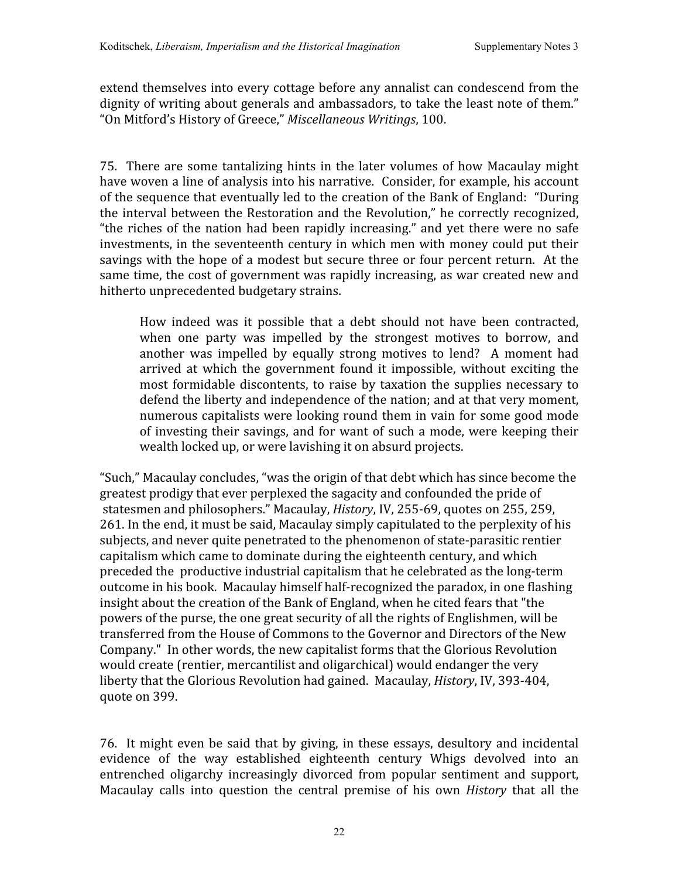extend
themselves
into
every
cottage
before
any
annalist
can
condescend
from
the dignity of writing about generals and ambassadors, to take the least note of them." "On
Mitford's
History
of
Greece," *Miscellaneous
Writings*,
100.

75. There
are some
tantalizing
hints
in
the
later
volumes
of
how
Macaulay
might have woven a line of analysis into his narrative. Consider, for example, his account of
the
sequence
that
eventually
led
to
the
creation
of
the
Bank
of
England: "During the
interval
between
the
Restoration
and
the
Revolution,"
he
correctly
recognized, "the riches of the nation had been rapidly increasing." and yet there were no safe investments, in the seventeenth century in which men with money could put their savings with the hope of a modest but secure three or four percent return. At the same time, the cost of government was rapidly increasing, as war created new and hitherto
unprecedented
budgetary
strains.

How indeed was it possible that a debt should not have been contracted, when one party was impelled by the strongest motives to borrow, and another was impelled by equally strong motives to lend? A moment had arrived at which
the government found it impossible, without exciting
the most
formidable
discontents,
to raise
by
taxation
the supplies
necessary
to defend the liberty and independence of the nation; and at that very moment, numerous
capitalists
were
looking
round
them
in
vain
for
some
good
mode of
investing
their
savings,
and
for
want
of
such
a
mode,
were
keeping
their wealth locked up, or were lavishing it on absurd projects.

"Such,"
Macaulay
concludes,
"was
the
origin
of
that
debt
which
has
since
become
the greatest
prodigy
that
ever
perplexed
the
sagacity
and
confounded
the
pride
of statesmen
and
philosophers."
Macaulay, *History*,
IV,
255‐69,
quotes
on
255,
259, 261. In the end, it must be said, Macaulay simply capitulated to the perplexity of his subjects, and never quite penetrated to the phenomenon of state-parasitic rentier capitalism
which
came
to
dominate
during
the
eighteenth
century,
and
which preceded
the

productive
industrial
capitalism
that
he
celebrated
as
the
long‐term outcome
in
his
book.

Macaulay
himself
half‐recognized
the
paradox,
in
one
flashing insight about the creation of the Bank of England, when he cited fears that "the powers
of
the
purse,
the
one
great
security
of
all
the
rights
of
Englishmen,
will
be transferred
from
the
House
of
Commons
to
the
Governor
and
Directors
of
the
New Company."

In
other
words,
the
new
capitalist
forms
that
the
Glorious
Revolution would create (rentier, mercantilist and oligarchical) would endanger the very liberty that the Glorious Revolution had gained. Macaulay, *History*, IV, 393-404, quote
on
399.

76. It
might
even
be said
that
by
giving,
in
these essays, desultory
and
incidental evidence of the way established eighteenth century Whigs devolved into an entrenched oligarchy increasingly divorced from popular sentiment and support, Macaulay calls into question the central premise of his own *History* that all the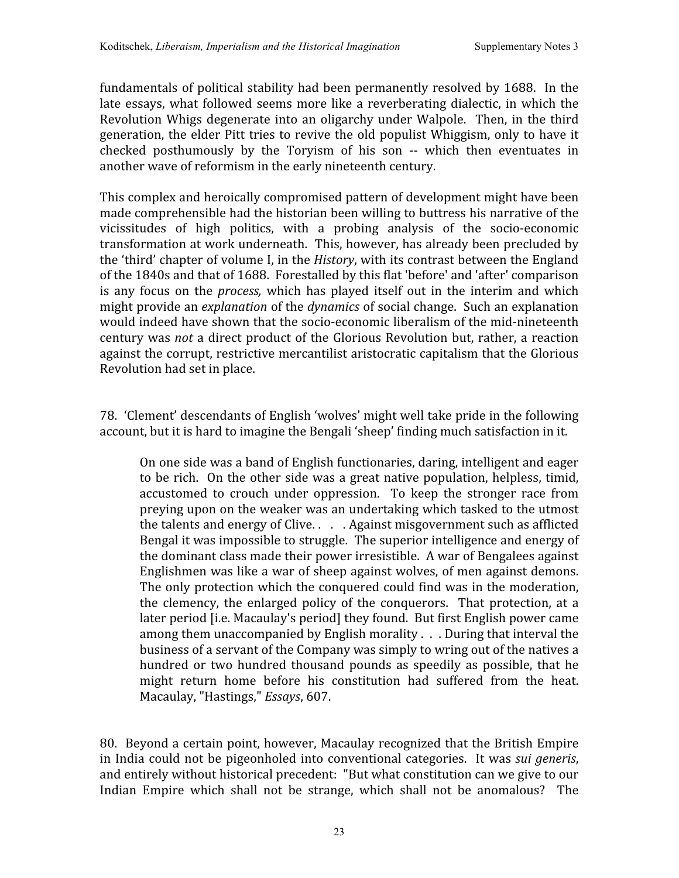fundamentals of political stability had been permanently resolved by 1688. In the late essays, what followed seems more like a reverberating dialectic, in which the Revolution
Whigs
degenerate
into
an
oligarchy
under
Walpole. Then,
in
the
third generation, the elder Pitt tries to revive the old populist Whiggism, only to have it checked posthumously by the Toryism of his son -- which then eventuates in another
wave
of
reformism
in
the
early
nineteenth
century.

This complex and heroically compromised pattern of development might have been made comprehensible had the historian been willing to buttress his narrative of the vicissitudes of high politics, with a probing analysis of the socio‐economic transformation
at
work underneath. This, however, has
already
been
precluded
by the 'third' chapter of volume I, in the *History*, with its contrast between the England of
the
1840s
and
that
of
1688.

Forestalled
by
this
flat
'before'
and
'after'
comparison is any focus on the *process*, which has played itself out in the interim and which might provide an *explanation* of the *dynamics* of social change. Such an explanation would indeed have shown that the socio-economic liberalism of the mid-nineteenth century was *not* a direct product of the Glorious Revolution but, rather, a reaction against
the
corrupt,
restrictive
mercantilist
aristocratic
capitalism
that
the
Glorious Revolution
had
set
in
place.

78. 'Clement'
descendants
of
English
'wolves'
might
well
take
pride
in
the
following account, but it is hard to imagine the Bengali 'sheep' finding much satisfaction in it.

On
one
side
was
a
band
of
English
functionaries,
daring,
intelligent
and
eager to
be
rich. On
the
other
side
was
a
great
native
population,
helpless,
timid, accustomed to crouch under oppression. To keep the stronger race from preying
upon
on
the
weaker
was
an
undertaking
which
tasked
to
the
utmost the
talents
and
energy
of
Clive.
. . .
Against
misgovernment
such
as
afflicted Bengal it was impossible to struggle. The superior intelligence and energy of the dominant class made their power irresistible. A war of Bengalees against Englishmen
was
like
a
war
of
sheep
against
wolves,
of
men
against
demons. The only protection which the conquered could find was in the moderation, the clemency, the enlarged policy of the conquerors. That protection, at a later period [i.e. Macaulay's period] they found. But first English power came among them unaccompanied by English morality . . . During that interval the business of a servant of the Company was simply to wring out of the natives a hundred or two hundred thousand pounds as speedily as possible, that he might return home before his constitution had suffered from the heat. Macaulay,
"Hastings," *Essays*,
607.

80. Beyond
a
certain
point,
however,
Macaulay
recognized
that
the
British
Empire in India could not be pigeonholed into conventional categories. It was *sui generis*, and
entirely
without
historical
precedent: "But
what
constitution
can
we
give
to
our Indian Empire which shall not be strange, which shall not be anomalous? The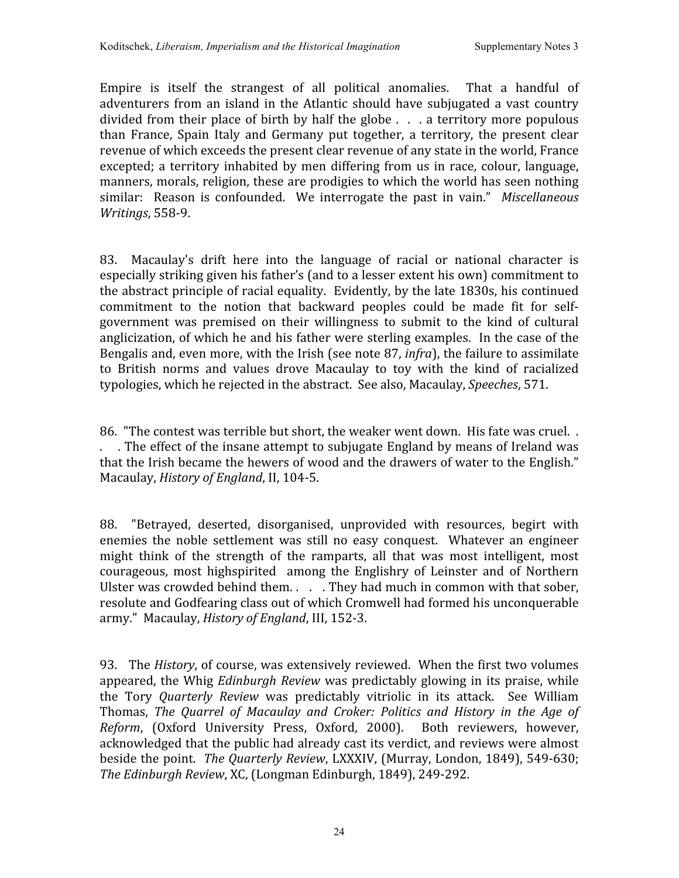Empire is itself the strangest of all political anomalies. That a handful of adventurers from an island in the Atlantic should have subjugated a vast country divided from their place of birth by half the globe . . . a territory more populous than France, Spain Italy and Germany put together, a territory, the present clear revenue of which exceeds the present clear revenue of any state in the world, France excepted; a territory inhabited by men differing from us in race, colour, language, manners, morals, religion, these are prodigies to which the world has seen nothing similar: Reason is confounded. We interrogate the past in vain." *Miscellaneous Writings*,
558‐9.

83. Macaulay's drift here into the language of racial or national character is especially
striking
given
his
father's
(and
to
a
lesser extent
his
own)
commitment
to the
abstract
principle of
racial
equality. Evidently,
by
the
late
1830s,
his
continued commitment to the notion that backward peoples could be made fit for selfgovernment was premised on their willingness to submit to the kind of cultural anglicization, of which he and his father were sterling examples. In the case of the Bengalis and, even more, with the Irish (see note 87, *infra*), the failure to assimilate to British norms and values drove Macaulay to toy with the kind of racialized typologies,
which
he
rejected
in
the
abstract.

See
also,
Macaulay, *Speeches*,
571.

86. "The contest was terrible but short, the weaker went down. His fate was cruel.. . The effect of the insane attempt to subjugate England by means of Ireland was that the Irish became the hewers of wood and the drawers of water to the English." Macaulay, *History
of
England*,
II,
104‐5.

88. "Betrayed, deserted, disorganised, unprovided with resources, begirt with enemies the noble settlement was still no easy conquest. Whatever an engineer might think of the strength of the ramparts, all that was most intelligent, most courageous, most highspirited among the Englishry of Leinster and of Northern Ulster was crowded behind them. . . . They had much in common with that sober, resolute and Godfearing class out of which Cromwell had formed his unconquerable army."

Macaulay, *History
of
England*,
III,
152‐3.

93. The *History*, of course, was extensively reviewed. When the first two volumes appeared, the Whig *Edinburgh Review* was predictably glowing in its praise, while the Tory Quarterly Review was predictably vitriolic in its attack. See William Thomas, *The Quarrel of Macaulay and Croker: Politics and History in the Age of*  Reform, (Oxford University Press, Oxford, 2000). Both reviewers, however, acknowledged that the public had already cast its verdict, and reviews were almost beside the point. The Quarterly Review, LXXXIV, (Murray, London, 1849), 549-630; *The
Edinburgh
Review*,
XC,
(Longman
Edinburgh,
1849),
249‐292.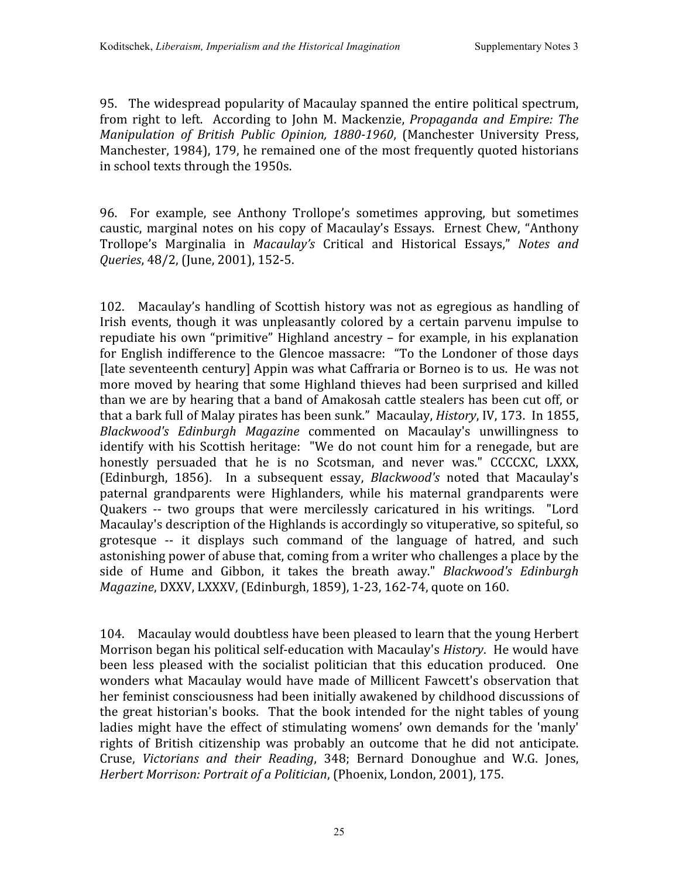95. The
widespread
popularity
of
Macaulay
spanned
the
entire
political
spectrum, from right
to left. According
to John M. Mackenzie, *Propaganda and Empire: The*  Manipulation of British Public Opinion, 1880-1960, (Manchester University Press, Manchester, 1984), 179, he remained one of the most frequently quoted historians in
school
texts
through
the
1950s.

96. For example, see Anthony Trollope's sometimes approving, but sometimes caustic,
marginal
notes on
his copy of
Macaulay's
Essays. Ernest
Chew,
"Anthony Trollope's Marginalia in *Macaulay's* Critical and Historical Essays," Notes and Queries, 48/2, (June, 2001), 152-5.

102. Macaulay's
handling
of
Scottish
history
was
not
as
egregious
as
handling
of Irish events, though it was unpleasantly colored by a certain parvenu impulse to repudiate
his
own
"primitive"
Highland ancestry
– for
example,
in
his
explanation for English indifference to the Glencoe massacre: "To the Londoner of those days [late
seventeenth
century]
Appin
was
what
Caffraria
or
Borneo
is
to
us. He
was
not more
moved
by
hearing
that
some
Highland
thieves
had
been
surprised
and
killed than we are by hearing that a band of Amakosah cattle stealers has been cut off, or that
a
bark
full
of
Malay
pirates
has
been
sunk." Macaulay, *History*,
IV,
173. In
1855, *Blackwood's Edinburgh Magazine* commented on Macaulay's unwillingness to identify with his Scottish heritage: "We do not count him for a renegade, but are honestly persuaded that he is no Scotsman, and never was." CCCCXC, LXXX, (Edinburgh, 1856). In a subsequent essay, *Blackwood's* noted that Macaulay's paternal grandparents were Highlanders, while his maternal grandparents were Quakers -- two groups that were mercilessly caricatured in his writings. "Lord Macaulay's description of the Highlands is accordingly so vituperative, so spiteful, so grotesque ‐‐ it displays such command of the language of hatred, and such astonishing power of abuse that, coming from a writer who challenges a place by the side of Hume and Gibbon, it takes the breath away." *Blackwood's Edinburgh Magazine*,
DXXV,
LXXXV,
(Edinburgh,
1859),
1‐23,
162‐74,
quote
on
160.

104. Macaulay
would
doubtless
have
been
pleased
to
learn
that
the
young
Herbert Morrison began his political self-education with Macaulay's *History*. He would have been less pleased with the socialist politician that this education produced. One wonders what Macaulay would have made of Millicent Fawcett's observation that her feminist consciousness had been initially awakened by childhood discussions of the great
historian's
books. That
the
book
intended
for
the
night
tables
of young ladies might have the effect of stimulating womens' own demands for the 'manly' rights of British citizenship was probably an outcome that he did not anticipate. Cruse, *Victorians and their Reading*, 348; Bernard Donoughue and W.G. Jones, *Herbert
Morrison:
Portrait
of
a
Politician*,
(Phoenix,
London,
2001),
175.